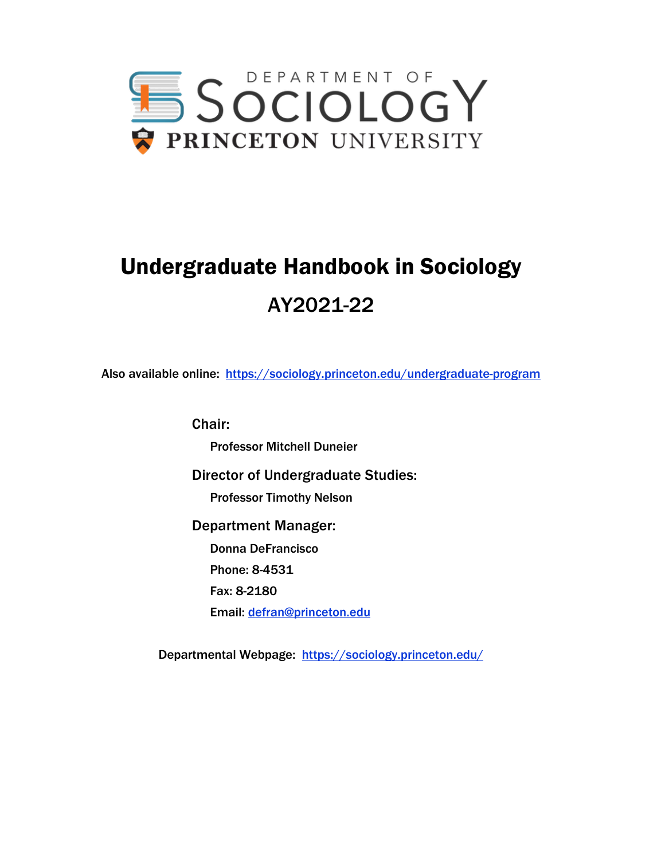

# Undergraduate Handbook in Sociology AY2021-22

Also available online: https://sociology.princeton.edu/undergraduate-program

Chair: Professor Mitchell Duneier Director of Undergraduate Studies: Professor Timothy Nelson Department Manager: Donna DeFrancisco Phone: 8-4531 Fax: 8-2180 Email: defran@princeton.edu

Departmental Webpage: https://sociology.princeton.edu/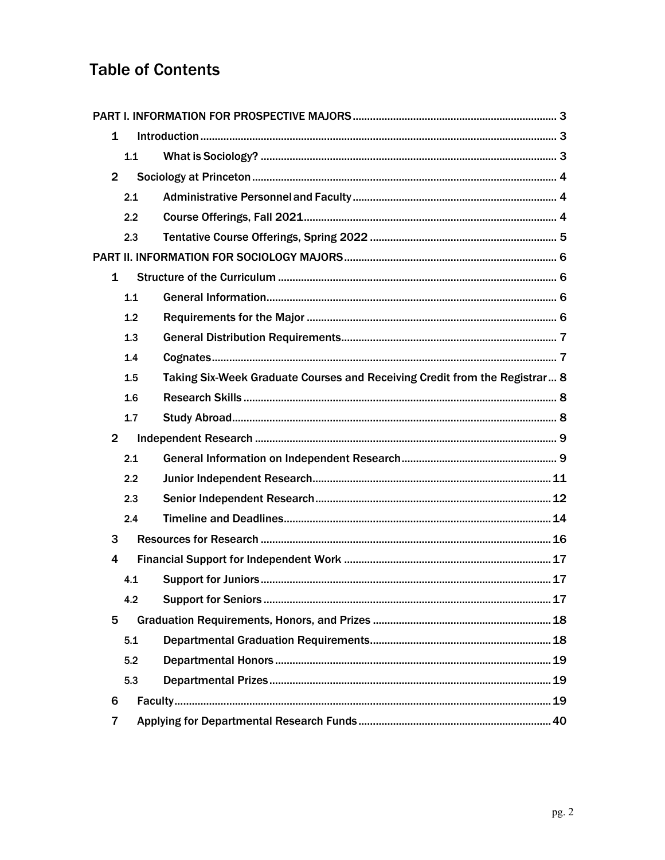## **Table of Contents**

| 1              |     |                                                                            |  |
|----------------|-----|----------------------------------------------------------------------------|--|
|                | 1.1 |                                                                            |  |
| $\overline{2}$ |     |                                                                            |  |
|                | 2.1 |                                                                            |  |
|                | 2.2 |                                                                            |  |
|                | 2.3 |                                                                            |  |
|                |     |                                                                            |  |
| 1              |     |                                                                            |  |
|                | 1.1 |                                                                            |  |
|                | 1.2 |                                                                            |  |
|                | 1.3 |                                                                            |  |
|                | 1.4 |                                                                            |  |
|                | 1.5 | Taking Six-Week Graduate Courses and Receiving Credit from the Registrar 8 |  |
|                | 1.6 |                                                                            |  |
|                | 1.7 |                                                                            |  |
| $\overline{2}$ |     |                                                                            |  |
|                | 2.1 |                                                                            |  |
|                | 2.2 |                                                                            |  |
|                | 2.3 |                                                                            |  |
|                | 2.4 |                                                                            |  |
| 3              |     |                                                                            |  |
| 4              |     |                                                                            |  |
|                | 4.1 |                                                                            |  |
|                | 4.2 |                                                                            |  |
| 5              |     |                                                                            |  |
|                | 5.1 |                                                                            |  |
|                | 5.2 |                                                                            |  |
|                | 5.3 |                                                                            |  |
| 6              |     |                                                                            |  |
| 7              |     |                                                                            |  |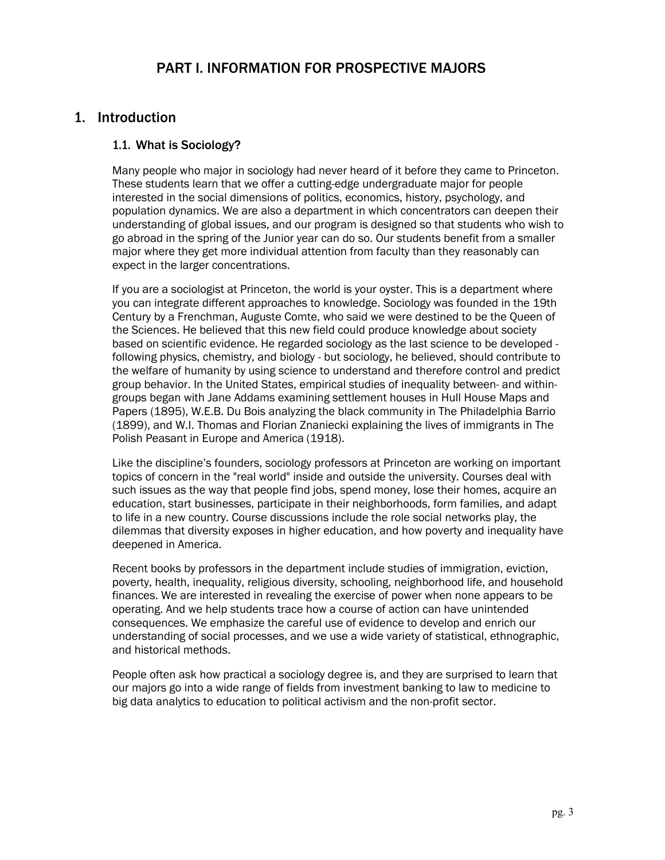### PART I. INFORMATION FOR PROSPECTIVE MAJORS

#### 1. Introduction

#### 1.1. What is Sociology?

Many people who major in sociology had never heard of it before they came to Princeton. These students learn that we offer a cutting-edge undergraduate major for people interested in the social dimensions of politics, economics, history, psychology, and population dynamics. We are also a department in which concentrators can deepen their understanding of global issues, and our program is designed so that students who wish to go abroad in the spring of the Junior year can do so. Our students benefit from a smaller major where they get more individual attention from faculty than they reasonably can expect in the larger concentrations.

If you are a sociologist at Princeton, the world is your oyster. This is a department where you can integrate different approaches to knowledge. Sociology was founded in the 19th Century by a Frenchman, Auguste Comte, who said we were destined to be the Queen of the Sciences. He believed that this new field could produce knowledge about society based on scientific evidence. He regarded sociology as the last science to be developed following physics, chemistry, and biology - but sociology, he believed, should contribute to the welfare of humanity by using science to understand and therefore control and predict group behavior. In the United States, empirical studies of inequality between- and withingroups began with Jane Addams examining settlement houses in Hull House Maps and Papers (1895), W.E.B. Du Bois analyzing the black community in The Philadelphia Barrio (1899), and W.I. Thomas and Florian Znaniecki explaining the lives of immigrants in The Polish Peasant in Europe and America (1918).

Like the discipline's founders, sociology professors at Princeton are working on important topics of concern in the "real world" inside and outside the university. Courses deal with such issues as the way that people find jobs, spend money, lose their homes, acquire an education, start businesses, participate in their neighborhoods, form families, and adapt to life in a new country. Course discussions include the role social networks play, the dilemmas that diversity exposes in higher education, and how poverty and inequality have deepened in America.

Recent books by professors in the department include studies of immigration, eviction, poverty, health, inequality, religious diversity, schooling, neighborhood life, and household finances. We are interested in revealing the exercise of power when none appears to be operating. And we help students trace how a course of action can have unintended consequences. We emphasize the careful use of evidence to develop and enrich our understanding of social processes, and we use a wide variety of statistical, ethnographic, and historical methods.

People often ask how practical a sociology degree is, and they are surprised to learn that our majors go into a wide range of fields from investment banking to law to medicine to big data analytics to education to political activism and the non-profit sector.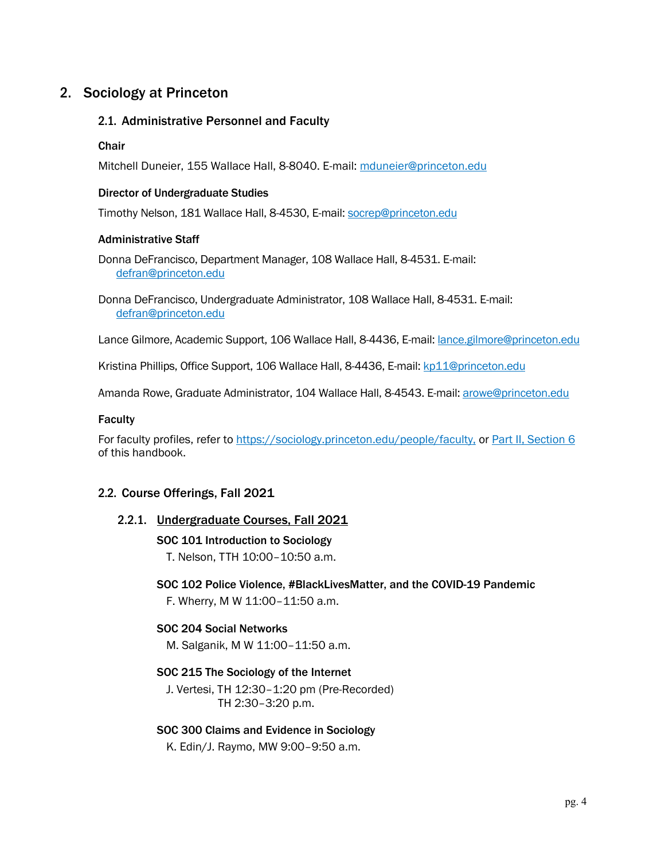### 2. Sociology at Princeton

#### 2.1. Administrative Personnel and Faculty

#### **Chair**

Mitchell Duneier, 155 Wallace Hall, 8-8040. E-mail: mduneier@princeton.edu

#### Director of Undergraduate Studies

Timothy Nelson, 181 Wallace Hall, 8-4530, E-mail: socrep@princeton.edu

#### Administrative Staff

Donna DeFrancisco, Department Manager, 108 Wallace Hall, 8-4531. E-mail: defran@princeton.edu

Donna DeFrancisco, Undergraduate Administrator, 108 Wallace Hall, 8-4531. E-mail: defran@princeton.edu

Lance Gilmore, Academic Support, 106 Wallace Hall, 8-4436, E-mail: *lance.gilmore@princeton.edu* 

Kristina Phillips, Office Support, 106 Wallace Hall, 8-4436, E-mail: kp11@princeton.edu

Amanda Rowe, Graduate Administrator, 104 Wallace Hall, 8-4543. E-mail: arowe@princeton.edu

#### Faculty

For faculty profiles, refer to https://sociology.princeton.edu/people/faculty, or Part II, Section 6 of this handbook.

#### 2.2. Course Offerings, Fall 2021

#### 2.2.1. Undergraduate Courses, Fall 2021

#### SOC 101 Introduction to Sociology

T. Nelson, TTH 10:00–10:50 a.m.

#### SOC 102 Police Violence, #BlackLivesMatter, and the COVID-19 Pandemic F. Wherry, M W 11:00–11:50 a.m.

#### SOC 204 Social Networks

M. Salganik, M W 11:00–11:50 a.m.

#### SOC 215 The Sociology of the Internet

J. Vertesi, TH 12:30–1:20 pm (Pre-Recorded) TH 2:30–3:20 p.m.

#### SOC 300 Claims and Evidence in Sociology

K. Edin/J. Raymo, MW 9:00–9:50 a.m.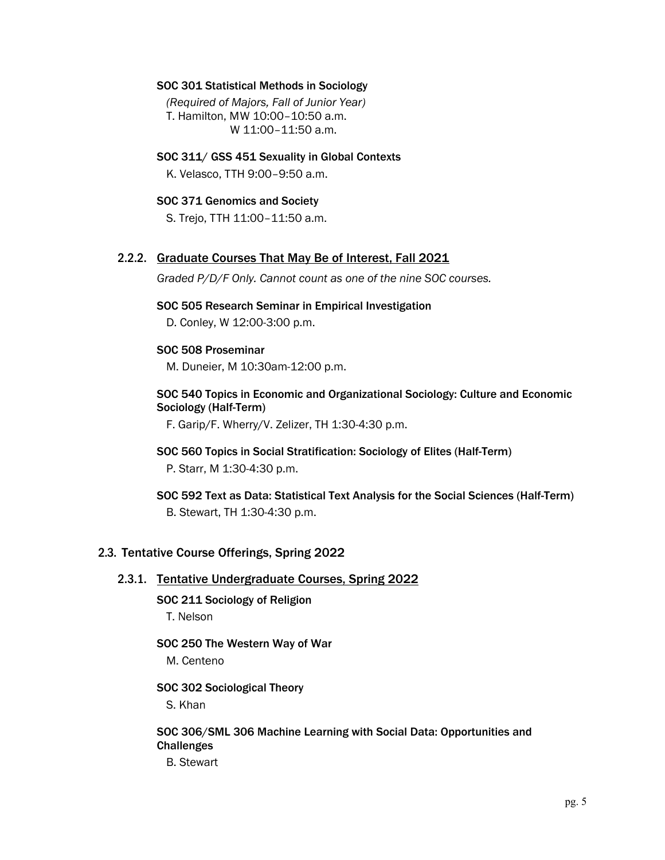#### SOC 301 Statistical Methods in Sociology

*(Required of Majors, Fall of Junior Year)* T. Hamilton, MW 10:00–10:50 a.m. W 11:00–11:50 a.m.

SOC 311/ GSS 451 Sexuality in Global Contexts K. Velasco, TTH 9:00–9:50 a.m.

#### SOC 371 Genomics and Society

S. Trejo, TTH 11:00–11:50 a.m.

#### 2.2.2. Graduate Courses That May Be of Interest, Fall 2021

*Graded P/D/F Only. Cannot count as one of the nine SOC courses.*

#### SOC 505 Research Seminar in Empirical Investigation

D. Conley, W 12:00-3:00 p.m.

#### SOC 508 Proseminar

M. Duneier, M 10:30am-12:00 p.m.

#### SOC 540 Topics in Economic and Organizational Sociology: Culture and Economic Sociology (Half-Term)

F. Garip/F. Wherry/V. Zelizer, TH 1:30-4:30 p.m.

- SOC 560 Topics in Social Stratification: Sociology of Elites (Half-Term) P. Starr, M 1:30-4:30 p.m.
- SOC 592 Text as Data: Statistical Text Analysis for the Social Sciences (Half-Term) B. Stewart, TH 1:30-4:30 p.m.

#### 2.3. Tentative Course Offerings, Spring 2022

#### 2.3.1. Tentative Undergraduate Courses, Spring 2022

SOC 211 Sociology of Religion T. Nelson

#### SOC 250 The Western Way of War

M. Centeno

SOC 302 Sociological Theory

S. Khan

SOC 306/SML 306 Machine Learning with Social Data: Opportunities and **Challenges** 

B. Stewart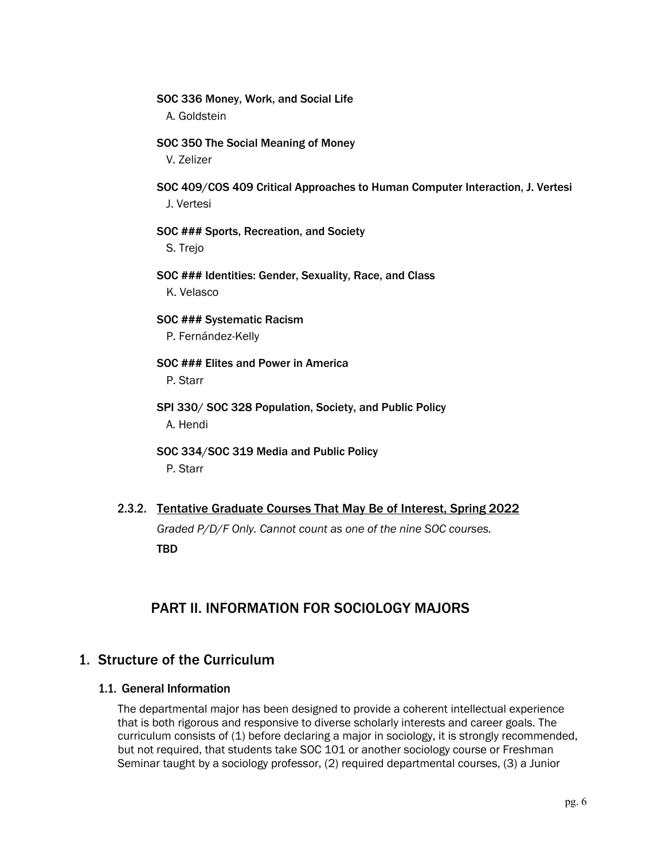- SOC 336 Money, Work, and Social Life A. Goldstein
- SOC 350 The Social Meaning of Money V. Zelizer
- SOC 409/COS 409 Critical Approaches to Human Computer Interaction, J. Vertesi J. Vertesi
- SOC ### Sports, Recreation, and Society S. Trejo
- SOC ### Identities: Gender, Sexuality, Race, and Class K. Velasco
- SOC ### Systematic Racism P. Fernández-Kelly
- SOC ### Elites and Power in America P. Starr
- SPI 330/ SOC 328 Population, Society, and Public Policy A. Hendi
- SOC 334/SOC 319 Media and Public Policy P. Starr
- 2.3.2. Tentative Graduate Courses That May Be of Interest, Spring 2022 *Graded P/D/F Only. Cannot count as one of the nine SOC courses.* TBD

### PART II. INFORMATION FOR SOCIOLOGY MAJORS

#### 1. Structure of the Curriculum

#### 1.1. General Information

The departmental major has been designed to provide a coherent intellectual experience that is both rigorous and responsive to diverse scholarly interests and career goals. The curriculum consists of (1) before declaring a major in sociology, it is strongly recommended, but not required, that students take SOC 101 or another sociology course or Freshman Seminar taught by a sociology professor, (2) required departmental courses, (3) a Junior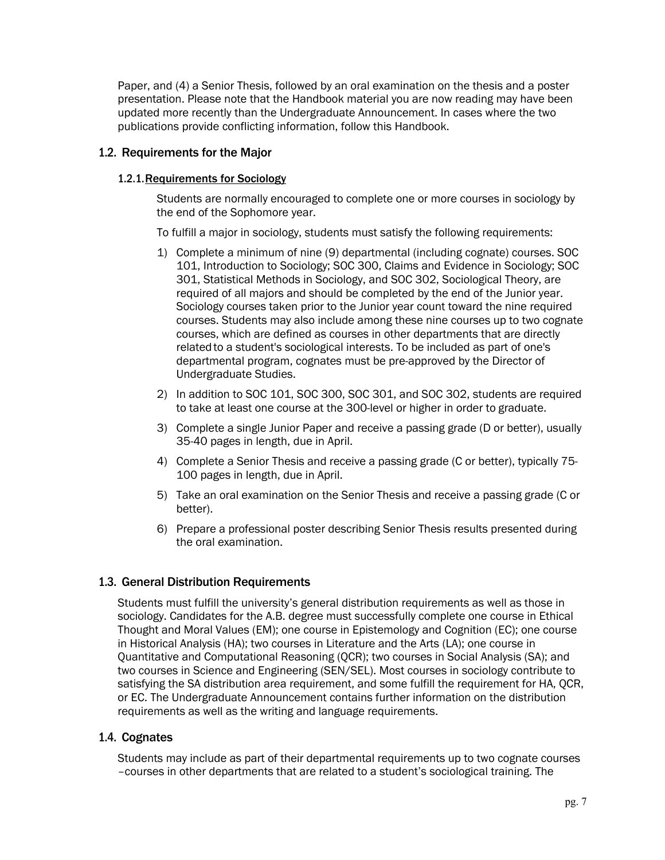Paper, and (4) a Senior Thesis, followed by an oral examination on the thesis and a poster presentation. Please note that the Handbook material you are now reading may have been updated more recently than the Undergraduate Announcement. In cases where the two publications provide conflicting information, follow this Handbook.

#### 1.2. Requirements for the Major

#### 1.2.1.Requirements for Sociology

Students are normally encouraged to complete one or more courses in sociology by the end of the Sophomore year.

To fulfill a major in sociology, students must satisfy the following requirements:

- 1) Complete a minimum of nine (9) departmental (including cognate) courses. SOC 101, Introduction to Sociology; SOC 300, Claims and Evidence in Sociology; SOC 301, Statistical Methods in Sociology, and SOC 302, Sociological Theory, are required of all majors and should be completed by the end of the Junior year. Sociology courses taken prior to the Junior year count toward the nine required courses. Students may also include among these nine courses up to two cognate courses, which are defined as courses in other departments that are directly relatedto a student's sociological interests. To be included as part of one's departmental program, cognates must be pre-approved by the Director of Undergraduate Studies.
- 2) In addition to SOC 101, SOC 300, SOC 301, and SOC 302, students are required to take at least one course at the 300-level or higher in order to graduate.
- 3) Complete a single Junior Paper and receive a passing grade (D or better), usually 35-40 pages in length, due in April.
- 4) Complete a Senior Thesis and receive a passing grade (C or better), typically 75- 100 pages in length, due in April.
- 5) Take an oral examination on the Senior Thesis and receive a passing grade (C or better).
- 6) Prepare a professional poster describing Senior Thesis results presented during the oral examination.

#### 1.3. General Distribution Requirements

Students must fulfill the university's general distribution requirements as well as those in sociology. Candidates for the A.B. degree must successfully complete one course in Ethical Thought and Moral Values (EM); one course in Epistemology and Cognition (EC); one course in Historical Analysis (HA); two courses in Literature and the Arts (LA); one course in Quantitative and Computational Reasoning (QCR); two courses in Social Analysis (SA); and two courses in Science and Engineering (SEN/SEL). Most courses in sociology contribute to satisfying the SA distribution area requirement, and some fulfill the requirement for HA, QCR, or EC. The Undergraduate Announcement contains further information on the distribution requirements as well as the writing and language requirements.

#### 1.4. Cognates

Students may include as part of their departmental requirements up to two cognate courses –courses in other departments that are related to a student's sociological training. The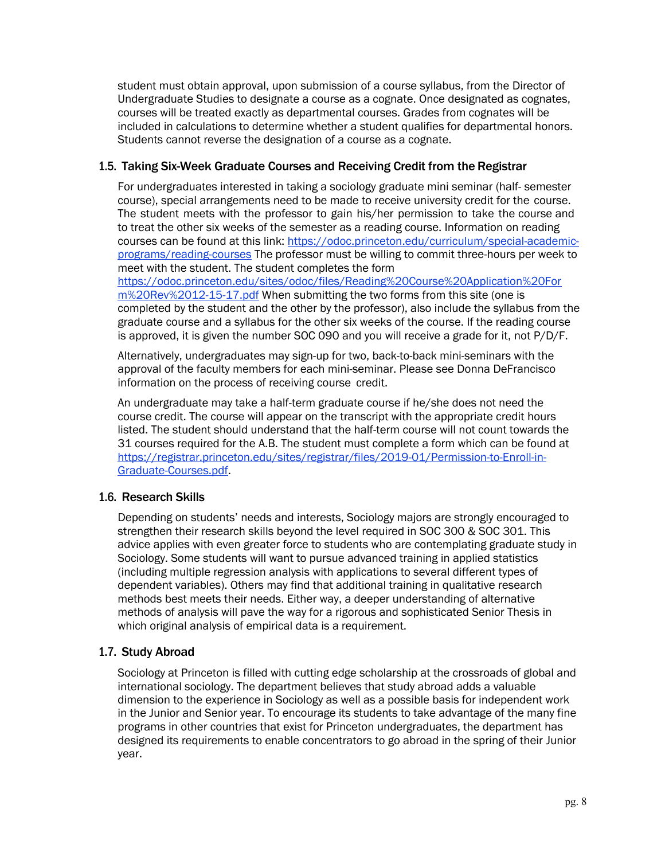student must obtain approval, upon submission of a course syllabus, from the Director of Undergraduate Studies to designate a course as a cognate. Once designated as cognates, courses will be treated exactly as departmental courses. Grades from cognates will be included in calculations to determine whether a student qualifies for departmental honors. Students cannot reverse the designation of a course as a cognate.

#### 1.5. Taking Six-Week Graduate Courses and Receiving Credit from the Registrar

For undergraduates interested in taking a sociology graduate mini seminar (half- semester course), special arrangements need to be made to receive university credit for the course. The student meets with the professor to gain his/her permission to take the course and to treat the other six weeks of the semester as a reading course. Information on reading courses can be found at this link: https://odoc.princeton.edu/curriculum/special-academicprograms/reading-courses The professor must be willing to commit three-hours per week to meet with the student. The student completes the form

https://odoc.princeton.edu/sites/odoc/files/Reading%20Course%20Application%20For m%20Rev%2012-15-17.pdf When submitting the two forms from this site (one is completed by the student and the other by the professor), also include the syllabus from the graduate course and a syllabus for the other six weeks of the course. If the reading course is approved, it is given the number SOC 090 and you will receive a grade for it, not P/D/F.

Alternatively, undergraduates may sign-up for two, back-to-back mini-seminars with the approval of the faculty members for each mini-seminar. Please see Donna DeFrancisco information on the process of receiving course credit.

An undergraduate may take a half-term graduate course if he/she does not need the course credit. The course will appear on the transcript with the appropriate credit hours listed. The student should understand that the half-term course will not count towards the 31 courses required for the A.B. The student must complete a form which can be found at https://registrar.princeton.edu/sites/registrar/files/2019-01/Permission-to-Enroll-in-Graduate-Courses.pdf.

#### 1.6. Research Skills

Depending on students' needs and interests, Sociology majors are strongly encouraged to strengthen their research skills beyond the level required in SOC 300 & SOC 301. This advice applies with even greater force to students who are contemplating graduate study in Sociology. Some students will want to pursue advanced training in applied statistics (including multiple regression analysis with applications to several different types of dependent variables). Others may find that additional training in qualitative research methods best meets their needs. Either way, a deeper understanding of alternative methods of analysis will pave the way for a rigorous and sophisticated Senior Thesis in which original analysis of empirical data is a requirement.

#### 1.7. Study Abroad

Sociology at Princeton is filled with cutting edge scholarship at the crossroads of global and international sociology. The department believes that study abroad adds a valuable dimension to the experience in Sociology as well as a possible basis for independent work in the Junior and Senior year. To encourage its students to take advantage of the many fine programs in other countries that exist for Princeton undergraduates, the department has designed its requirements to enable concentrators to go abroad in the spring of their Junior year.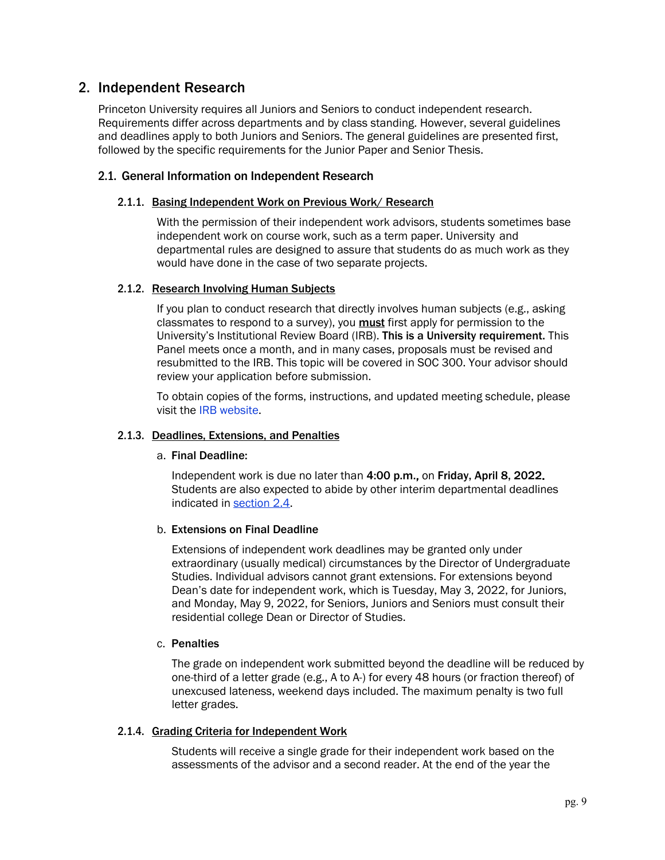#### 2. Independent Research

Princeton University requires all Juniors and Seniors to conduct independent research. Requirements differ across departments and by class standing. However, several guidelines and deadlines apply to both Juniors and Seniors. The general guidelines are presented first, followed by the specific requirements for the Junior Paper and Senior Thesis.

#### 2.1. General Information on Independent Research

#### 2.1.1. Basing Independent Work on Previous Work/ Research

With the permission of their independent work advisors, students sometimes base independent work on course work, such as a term paper. University and departmental rules are designed to assure that students do as much work as they would have done in the case of two separate projects.

#### 2.1.2. Research Involving Human Subjects

If you plan to conduct research that directly involves human subjects (e.g., asking classmates to respond to a survey), you **must** first apply for permission to the University's Institutional Review Board (IRB). This is a University requirement. This Panel meets once a month, and in many cases, proposals must be revised and resubmitted to the IRB. This topic will be covered in SOC 300. Your advisor should review your application before submission.

To obtain copies of the forms, instructions, and updated meeting schedule, please visit the IRB website.

#### 2.1.3. Deadlines, Extensions, and Penalties

#### a. Final Deadline:

Independent work is due no later than 4:00 p.m., on Friday, April 8, 2022. Students are also expected to abide by other interim departmental deadlines indicated in section 2.4.

#### b. Extensions on Final Deadline

Extensions of independent work deadlines may be granted only under extraordinary (usually medical) circumstances by the Director of Undergraduate Studies. Individual advisors cannot grant extensions. For extensions beyond Dean's date for independent work, which is Tuesday, May 3, 2022, for Juniors, and Monday, May 9, 2022, for Seniors, Juniors and Seniors must consult their residential college Dean or Director of Studies.

#### c. Penalties

The grade on independent work submitted beyond the deadline will be reduced by one-third of a letter grade (e.g., A to A-) for every 48 hours (or fraction thereof) of unexcused lateness, weekend days included. The maximum penalty is two full letter grades.

#### 2.1.4. Grading Criteria for Independent Work

Students will receive a single grade for their independent work based on the assessments of the advisor and a second reader. At the end of the year the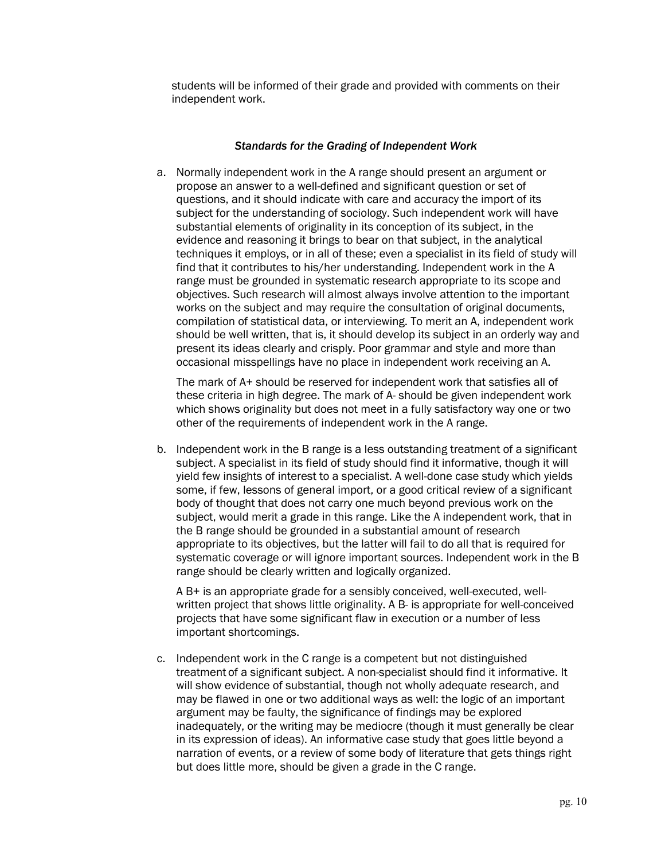students will be informed of their grade and provided with comments on their independent work.

#### *Standards for the Grading of Independent Work*

a. Normally independent work in the A range should present an argument or propose an answer to a well-defined and significant question or set of questions, and it should indicate with care and accuracy the import of its subject for the understanding of sociology. Such independent work will have substantial elements of originality in its conception of its subject, in the evidence and reasoning it brings to bear on that subject, in the analytical techniques it employs, or in all of these; even a specialist in its field of study will find that it contributes to his/her understanding. Independent work in the A range must be grounded in systematic research appropriate to its scope and objectives. Such research will almost always involve attention to the important works on the subject and may require the consultation of original documents, compilation of statistical data, or interviewing. To merit an A, independent work should be well written, that is, it should develop its subject in an orderly way and present its ideas clearly and crisply. Poor grammar and style and more than occasional misspellings have no place in independent work receiving an A.

The mark of A+ should be reserved for independent work that satisfies all of these criteria in high degree. The mark of A- should be given independent work which shows originality but does not meet in a fully satisfactory way one or two other of the requirements of independent work in the A range.

b. Independent work in the B range is a less outstanding treatment of a significant subject. A specialist in its field of study should find it informative, though it will yield few insights of interest to a specialist. A well-done case study which yields some, if few, lessons of general import, or a good critical review of a significant body of thought that does not carry one much beyond previous work on the subject, would merit a grade in this range. Like the A independent work, that in the B range should be grounded in a substantial amount of research appropriate to its objectives, but the latter will fail to do all that is required for systematic coverage or will ignore important sources. Independent work in the B range should be clearly written and logically organized.

A B+ is an appropriate grade for a sensibly conceived, well-executed, wellwritten project that shows little originality. A B- is appropriate for well-conceived projects that have some significant flaw in execution or a number of less important shortcomings.

c. Independent work in the C range is a competent but not distinguished treatment of a significant subject. A non-specialist should find it informative. It will show evidence of substantial, though not wholly adequate research, and may be flawed in one or two additional ways as well: the logic of an important argument may be faulty, the significance of findings may be explored inadequately, or the writing may be mediocre (though it must generally be clear in its expression of ideas). An informative case study that goes little beyond a narration of events, or a review of some body of literature that gets things right but does little more, should be given a grade in the C range.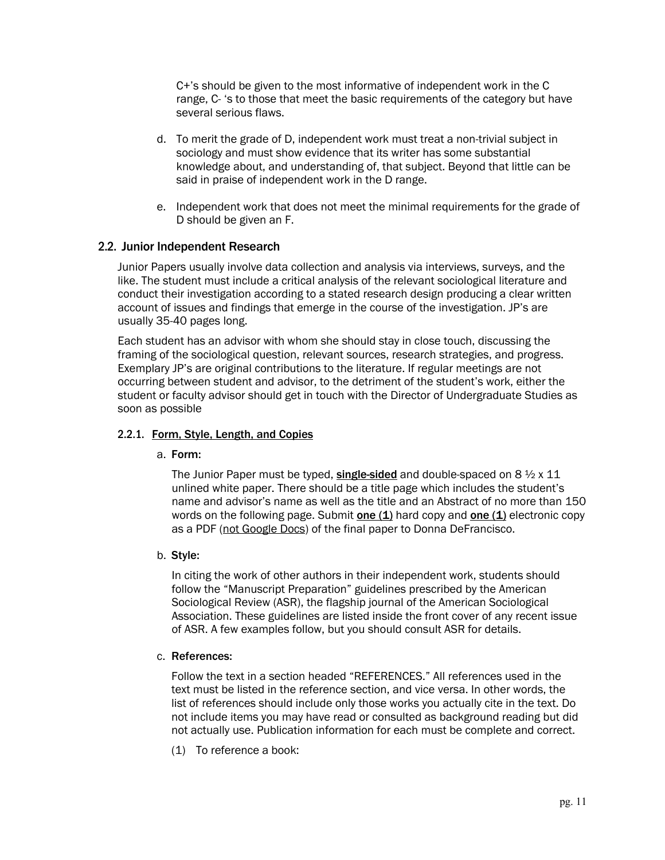C+'s should be given to the most informative of independent work in the C range, C- 's to those that meet the basic requirements of the category but have several serious flaws.

- d. To merit the grade of D, independent work must treat a non-trivial subject in sociology and must show evidence that its writer has some substantial knowledge about, and understanding of, that subject. Beyond that little can be said in praise of independent work in the D range.
- e. Independent work that does not meet the minimal requirements for the grade of D should be given an F.

#### 2.2. Junior Independent Research

Junior Papers usually involve data collection and analysis via interviews, surveys, and the like. The student must include a critical analysis of the relevant sociological literature and conduct their investigation according to a stated research design producing a clear written account of issues and findings that emerge in the course of the investigation. JP's are usually 35-40 pages long.

Each student has an advisor with whom she should stay in close touch, discussing the framing of the sociological question, relevant sources, research strategies, and progress. Exemplary JP's are original contributions to the literature. If regular meetings are not occurring between student and advisor, to the detriment of the student's work, either the student or faculty advisor should get in touch with the Director of Undergraduate Studies as soon as possible

#### 2.2.1. Form, Style, Length, and Copies

#### a. Form:

The Junior Paper must be typed, single-sided and double-spaced on  $8\frac{1}{2} \times 11$ unlined white paper. There should be a title page which includes the student's name and advisor's name as well as the title and an Abstract of no more than 150 words on the following page. Submit one (1) hard copy and one (1) electronic copy as a PDF (not Google Docs) of the final paper to Donna DeFrancisco.

#### b. Style:

In citing the work of other authors in their independent work, students should follow the "Manuscript Preparation" guidelines prescribed by the American Sociological Review (ASR), the flagship journal of the American Sociological Association. These guidelines are listed inside the front cover of any recent issue of ASR. A few examples follow, but you should consult ASR for details.

#### c. References:

Follow the text in a section headed "REFERENCES." All references used in the text must be listed in the reference section, and vice versa. In other words, the list of references should include only those works you actually cite in the text. Do not include items you may have read or consulted as background reading but did not actually use. Publication information for each must be complete and correct.

(1) To reference a book: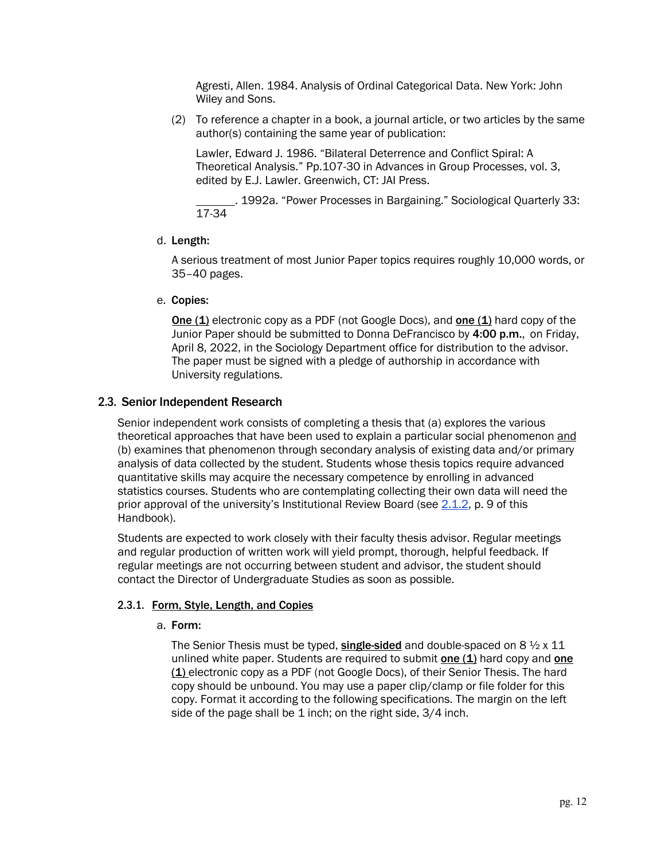Agresti, Allen. 1984. Analysis of Ordinal Categorical Data. New York: John Wiley and Sons.

(2) To reference a chapter in a book, a journal article, or two articles by the same author(s) containing the same year of publication:

Lawler, Edward J. 1986. "Bilateral Deterrence and Conflict Spiral: A Theoretical Analysis." Pp.107-30 in Advances in Group Processes, vol. 3, edited by E.J. Lawler. Greenwich, CT: JAI Press.

. 1992a. "Power Processes in Bargaining." Sociological Quarterly 33: 17-34

d. Length:

A serious treatment of most Junior Paper topics requires roughly 10,000 words, or 35–40 pages.

e. Copies:

One (1) electronic copy as a PDF (not Google Docs), and one (1) hard copy of the Junior Paper should be submitted to Donna DeFrancisco by 4:00 p.m., on Friday, April 8, 2022, in the Sociology Department office for distribution to the advisor. The paper must be signed with a pledge of authorship in accordance with University regulations.

#### 2.3. Senior Independent Research

Senior independent work consists of completing a thesis that (a) explores the various theoretical approaches that have been used to explain a particular social phenomenon and (b) examines that phenomenon through secondary analysis of existing data and/or primary analysis of data collected by the student. Students whose thesis topics require advanced quantitative skills may acquire the necessary competence by enrolling in advanced statistics courses. Students who are contemplating collecting their own data will need the prior approval of the university's Institutional Review Board (see 2.1.2, p. 9 of this Handbook).

Students are expected to work closely with their faculty thesis advisor. Regular meetings and regular production of written work will yield prompt, thorough, helpful feedback. If regular meetings are not occurring between student and advisor, the student should contact the Director of Undergraduate Studies as soon as possible.

#### 2.3.1. Form, Style, Length, and Copies

#### a. Form:

The Senior Thesis must be typed, single-sided and double-spaced on  $8\frac{1}{2} \times 11$ unlined white paper. Students are required to submit one  $(1)$  hard copy and one (1) electronic copy as a PDF (not Google Docs), of their Senior Thesis. The hard copy should be unbound. You may use a paper clip/clamp or file folder for this copy. Format it according to the following specifications. The margin on the left side of the page shall be 1 inch; on the right side, 3/4 inch.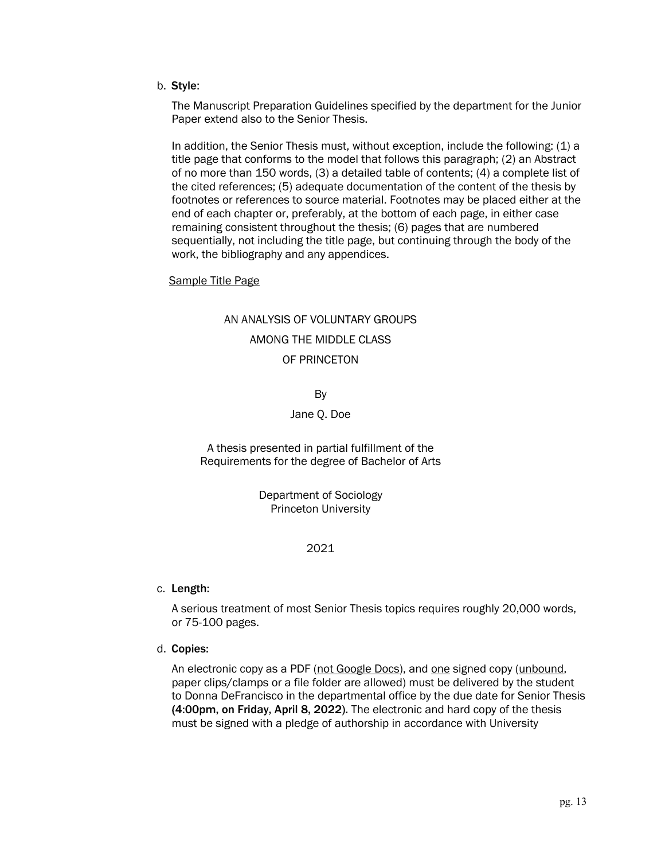b. Style:

The Manuscript Preparation Guidelines specified by the department for the Junior Paper extend also to the Senior Thesis.

In addition, the Senior Thesis must, without exception, include the following: (1) a title page that conforms to the model that follows this paragraph; (2) an Abstract of no more than 150 words, (3) a detailed table of contents; (4) a complete list of the cited references; (5) adequate documentation of the content of the thesis by footnotes or references to source material. Footnotes may be placed either at the end of each chapter or, preferably, at the bottom of each page, in either case remaining consistent throughout the thesis; (6) pages that are numbered sequentially, not including the title page, but continuing through the body of the work, the bibliography and any appendices.

#### Sample Title Page

### AN ANALYSIS OF VOLUNTARY GROUPS AMONG THE MIDDLE CLASS OF PRINCETON

By

#### Jane Q. Doe

A thesis presented in partial fulfillment of the Requirements for the degree of Bachelor of Arts

> Department of Sociology Princeton University

#### 2021

c. Length:

A serious treatment of most Senior Thesis topics requires roughly 20,000 words, or 75-100 pages.

d. Copies:

An electronic copy as a PDF (not Google Docs), and one signed copy (unbound, paper clips/clamps or a file folder are allowed) must be delivered by the student to Donna DeFrancisco in the departmental office by the due date for Senior Thesis (4:00pm, on Friday, April 8, 2022). The electronic and hard copy of the thesis must be signed with a pledge of authorship in accordance with University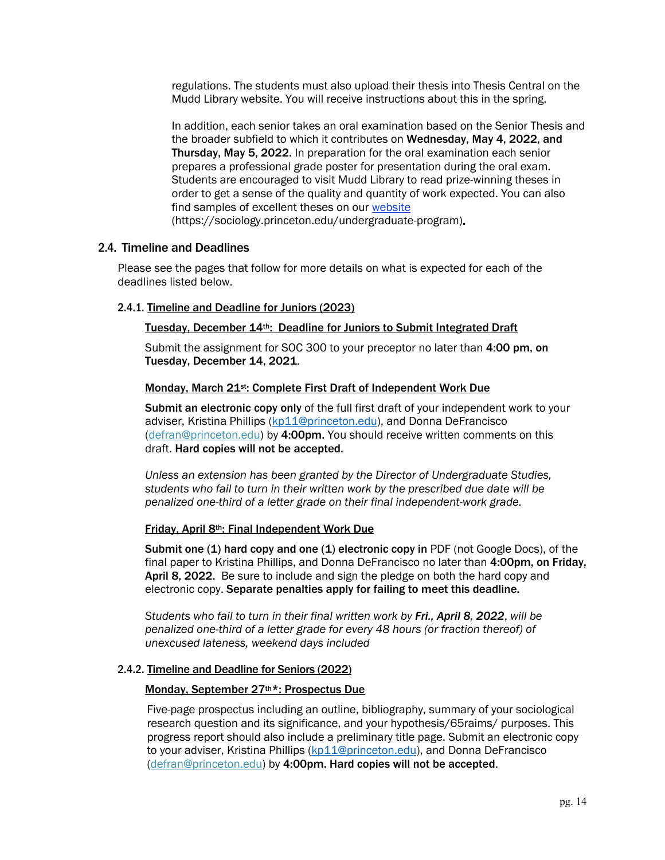regulations. The students must also upload their thesis into Thesis Central on the Mudd Library website. You will receive instructions about this in the spring.

In addition, each senior takes an oral examination based on the Senior Thesis and the broader subfield to which it contributes on Wednesday, May 4, 2022, and Thursday, May 5, 2022. In preparation for the oral examination each senior prepares a professional grade poster for presentation during the oral exam. Students are encouraged to visit Mudd Library to read prize-winning theses in order to get a sense of the quality and quantity of work expected. You can also find samples of excellent theses on our website (https://sociology.princeton.edu/undergraduate-program).

#### 2.4. Timeline and Deadlines

Please see the pages that follow for more details on what is expected for each of the deadlines listed below.

#### 2.4.1. Timeline and Deadline for Juniors (2023)

#### Tuesday, December 14th: Deadline for Juniors to Submit Integrated Draft

Submit the assignment for SOC 300 to your preceptor no later than 4:00 pm, on Tuesday, December 14, 2021.

#### Monday, March 21<sup>st</sup>: Complete First Draft of Independent Work Due

Submit an electronic copy only of the full first draft of your independent work to your adviser, Kristina Phillips (kp11@princeton.edu), and Donna DeFrancisco (defran@princeton.edu) by 4:00pm. You should receive written comments on this draft. Hard copies will not be accepted.

*Unless an extension has been granted by the Director of Undergraduate Studies, students who fail to turn in their written work by the prescribed due date will be penalized one-third of a letter grade on their final independent-work grade.*

#### Friday, April 8th: Final Independent Work Due

Submit one (1) hard copy and one (1) electronic copy in PDF (not Google Docs), of the final paper to Kristina Phillips, and Donna DeFrancisco no later than 4:00pm, on Friday, April 8, 2022. Be sure to include and sign the pledge on both the hard copy and electronic copy. Separate penalties apply for failing to meet this deadline.

*Students who fail to turn in their final written work by Fri., April 8, 2022*, *will be penalized one-third of a letter grade for every 48 hours (or fraction thereof) of unexcused lateness, weekend days included*

#### 2.4.2. Timeline and Deadline for Seniors (2022)

#### Monday, September 27th\*: Prospectus Due

Five-page prospectus including an outline, bibliography, summary of your sociological research question and its significance, and your hypothesis/65raims/ purposes. This progress report should also include a preliminary title page. Submit an electronic copy to your adviser, Kristina Phillips (kp11@princeton.edu), and Donna DeFrancisco (defran@princeton.edu) by 4:00pm. Hard copies will not be accepted.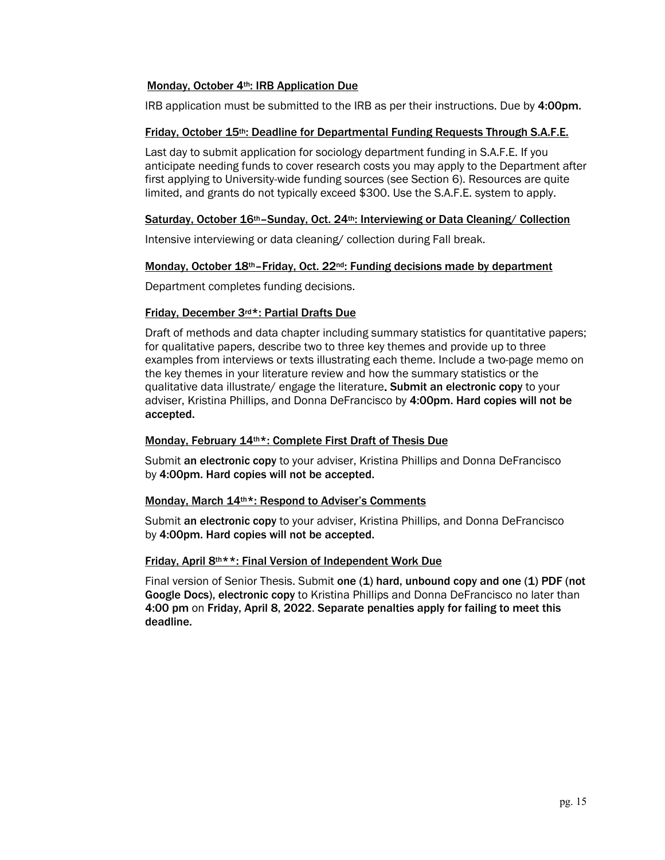#### Monday, October 4th: IRB Application Due

IRB application must be submitted to the IRB as per their instructions. Due by 4:00pm.

#### Friday, October 15th: Deadline for Departmental Funding Requests Through S.A.F.E.

Last day to submit application for sociology department funding in S.A.F.E. If you anticipate needing funds to cover research costs you may apply to the Department after first applying to University-wide funding sources (see Section 6). Resources are quite limited, and grants do not typically exceed \$300. Use the S.A.F.E. system to apply.

#### Saturday, October 16th–Sunday, Oct. 24th: Interviewing or Data Cleaning/ Collection

Intensive interviewing or data cleaning/ collection during Fall break.

#### Monday, October 18<sup>th</sup>–Friday, Oct. 22<sup>nd</sup>: Funding decisions made by department

Department completes funding decisions.

#### Friday, December 3rd\*: Partial Drafts Due

Draft of methods and data chapter including summary statistics for quantitative papers; for qualitative papers, describe two to three key themes and provide up to three examples from interviews or texts illustrating each theme. Include a two-page memo on the key themes in your literature review and how the summary statistics or the qualitative data illustrate/ engage the literature. Submit an electronic copy to your adviser, Kristina Phillips, and Donna DeFrancisco by 4:00pm. Hard copies will not be accepted.

#### Monday, February 14th\*: Complete First Draft of Thesis Due

Submit an electronic copy to your adviser, Kristina Phillips and Donna DeFrancisco by 4:00pm. Hard copies will not be accepted.

#### Monday, March 14th\*: Respond to Adviser's Comments

Submit an electronic copy to your adviser, Kristina Phillips, and Donna DeFrancisco by 4:00pm. Hard copies will not be accepted.

#### Friday, April 8th\*\*: Final Version of Independent Work Due

Final version of Senior Thesis. Submit one (1) hard, unbound copy and one (1) PDF (not Google Docs), electronic copy to Kristina Phillips and Donna DeFrancisco no later than 4:00 pm on Friday, April 8, 2022. Separate penalties apply for failing to meet this deadline.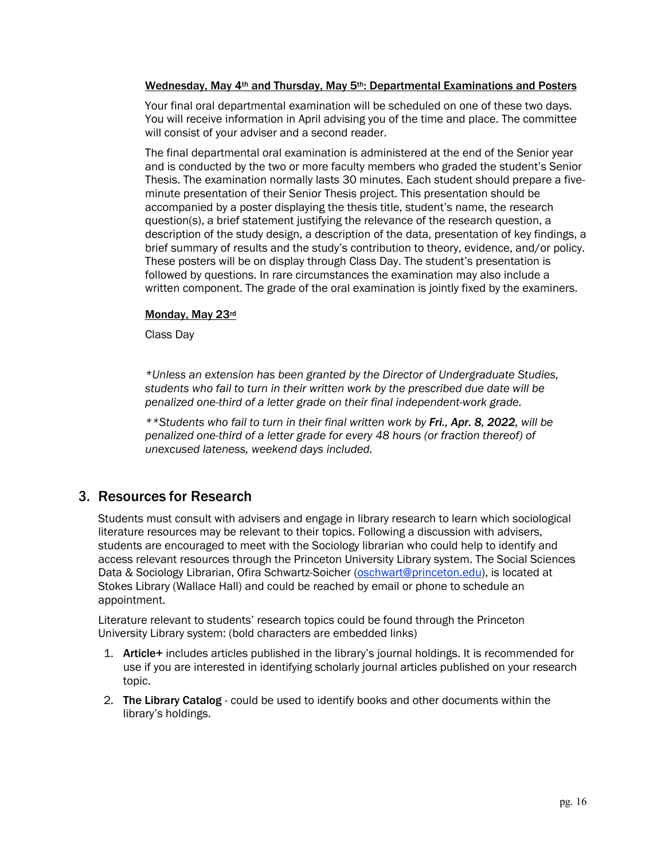#### Wednesday, May 4th and Thursday, May 5th: Departmental Examinations and Posters

Your final oral departmental examination will be scheduled on one of these two days. You will receive information in April advising you of the time and place. The committee will consist of your adviser and a second reader.

The final departmental oral examination is administered at the end of the Senior year and is conducted by the two or more faculty members who graded the student's Senior Thesis. The examination normally lasts 30 minutes. Each student should prepare a fiveminute presentation of their Senior Thesis project. This presentation should be accompanied by a poster displaying the thesis title, student's name, the research question(s), a brief statement justifying the relevance of the research question, a description of the study design, a description of the data, presentation of key findings, a brief summary of results and the study's contribution to theory, evidence, and/or policy. These posters will be on display through Class Day. The student's presentation is followed by questions. In rare circumstances the examination may also include a written component. The grade of the oral examination is jointly fixed by the examiners.

#### Monday, May 23rd

Class Day

*\*Unless an extension has been granted by the Director of Undergraduate Studies, students who fail to turn in their written work by the prescribed due date will be penalized one-third of a letter grade on their final independent-work grade.* 

*\*\*Students who fail to turn in their final written work by Fri., Apr. 8, 2022, will be penalized one-third of a letter grade for every 48 hours (or fraction thereof) of unexcused lateness, weekend days included.* 

#### 3. Resources for Research

Students must consult with advisers and engage in library research to learn which sociological literature resources may be relevant to their topics. Following a discussion with advisers, students are encouraged to meet with the Sociology librarian who could help to identify and access relevant resources through the Princeton University Library system. The Social Sciences Data & Sociology Librarian, Ofira Schwartz-Soicher (oschwart@princeton.edu), is located at Stokes Library (Wallace Hall) and could be reached by email or phone to schedule an appointment.

Literature relevant to students' research topics could be found through the Princeton University Library system: (bold characters are embedded links)

- 1. Article+ includes articles published in the library's journal holdings. It is recommended for use if you are interested in identifying scholarly journal articles published on your research topic.
- 2. The Library Catalog could be used to identify books and other documents within the library's holdings.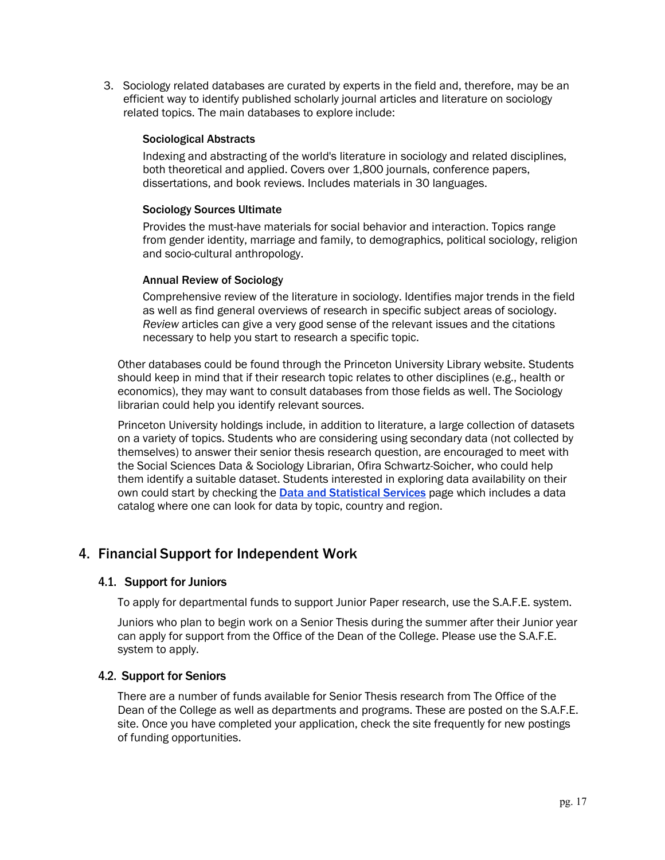3. Sociology related databases are curated by experts in the field and, therefore, may be an efficient way to identify published scholarly journal articles and literature on sociology related topics. The main databases to explore include:

#### Sociological Abstracts

Indexing and abstracting of the world's literature in sociology and related disciplines, both theoretical and applied. Covers over 1,800 journals, conference papers, dissertations, and book reviews. Includes materials in 30 languages.

#### Sociology Sources Ultimate

Provides the must-have materials for social behavior and interaction. Topics range from gender identity, marriage and family, to demographics, political sociology, religion and socio-cultural anthropology.

#### Annual Review of Sociology

Comprehensive review of the literature in sociology. Identifies major trends in the field as well as find general overviews of research in specific subject areas of sociology. *Review* articles can give a very good sense of the relevant issues and the citations necessary to help you start to research a specific topic.

Other databases could be found through the Princeton University Library website. Students should keep in mind that if their research topic relates to other disciplines (e.g., health or economics), they may want to consult databases from those fields as well. The Sociology librarian could help you identify relevant sources.

Princeton University holdings include, in addition to literature, a large collection of datasets on a variety of topics. Students who are considering using secondary data (not collected by themselves) to answer their senior thesis research question, are encouraged to meet with the Social Sciences Data & Sociology Librarian, Ofira Schwartz-Soicher, who could help them identify a suitable dataset. Students interested in exploring data availability on their own could start by checking the **Data and Statistical Services** page which includes a data catalog where one can look for data by topic, country and region.

#### 4. Financial Support for Independent Work

#### 4.1. Support for Juniors

To apply for departmental funds to support Junior Paper research, use the S.A.F.E. system.

Juniors who plan to begin work on a Senior Thesis during the summer after their Junior year can apply for support from the Office of the Dean of the College. Please use the S.A.F.E. system to apply.

#### 4.2. Support for Seniors

There are a number of funds available for Senior Thesis research from The Office of the Dean of the College as well as departments and programs. These are posted on the S.A.F.E. site. Once you have completed your application, check the site frequently for new postings of funding opportunities.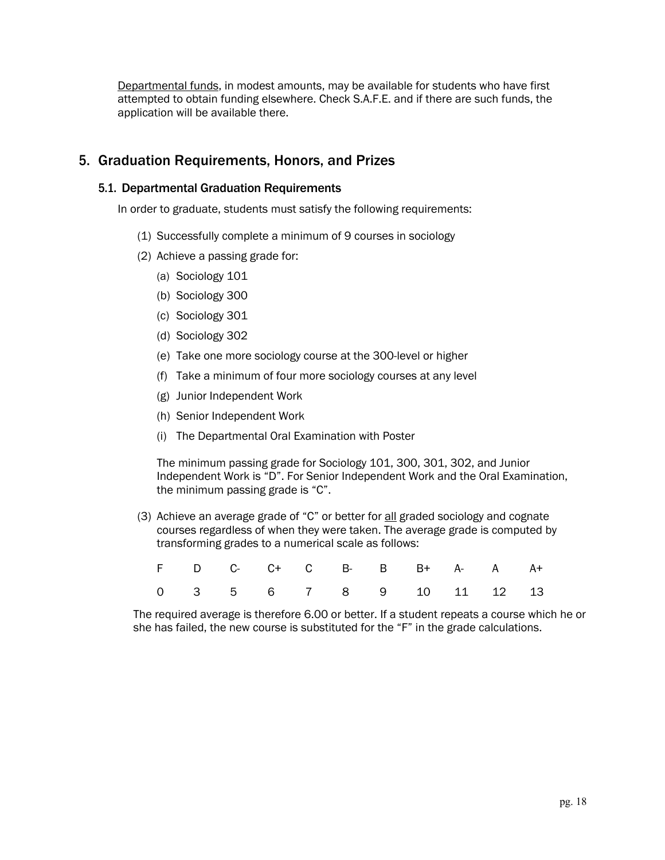Departmental funds, in modest amounts, may be available for students who have first attempted to obtain funding elsewhere. Check S.A.F.E. and if there are such funds, the application will be available there.

### 5. Graduation Requirements, Honors, and Prizes

#### 5.1. Departmental Graduation Requirements

In order to graduate, students must satisfy the following requirements:

- (1) Successfully complete a minimum of 9 courses in sociology
- (2) Achieve a passing grade for:
	- (a) Sociology 101
	- (b) Sociology 300
	- (c) Sociology 301
	- (d) Sociology 302
	- (e) Take one more sociology course at the 300-level or higher
	- (f) Take a minimum of four more sociology courses at any level
	- (g) Junior Independent Work
	- (h) Senior Independent Work
	- (i) The Departmental Oral Examination with Poster

The minimum passing grade for Sociology 101, 300, 301, 302, and Junior Independent Work is "D". For Senior Independent Work and the Oral Examination, the minimum passing grade is "C".

(3) Achieve an average grade of "C" or better for  $\underline{\text{all}}$  graded sociology and cognate courses regardless of when they were taken. The average grade is computed by transforming grades to a numerical scale as follows:

|  | F D C- C+ C B- B B+ A- A A+ |  |  |  |  |
|--|-----------------------------|--|--|--|--|
|  | 0 3 5 6 7 8 9 10 11 12 13   |  |  |  |  |

The required average is therefore 6.00 or better. If a student repeats a course which he or she has failed, the new course is substituted for the "F" in the grade calculations.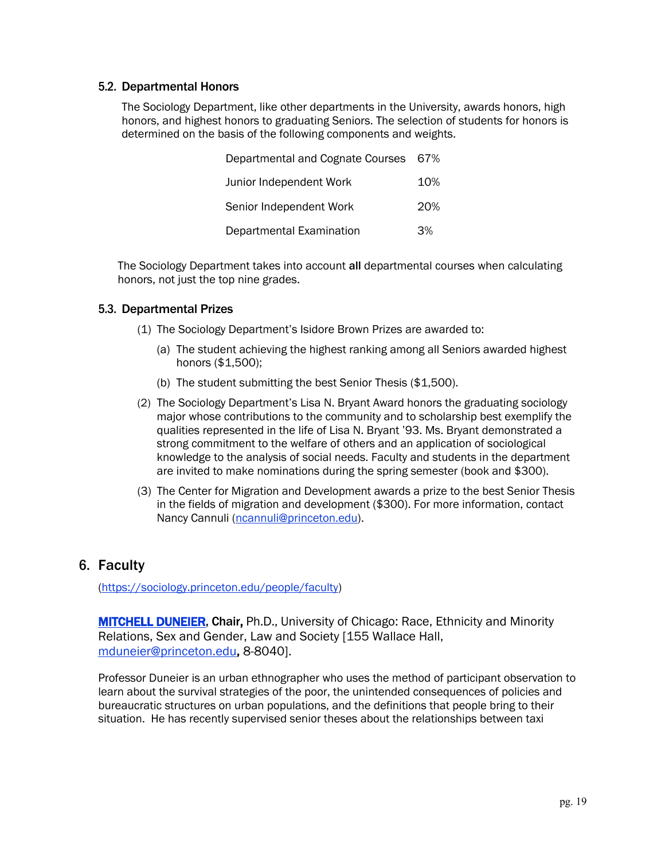#### 5.2. Departmental Honors

The Sociology Department, like other departments in the University, awards honors, high honors, and highest honors to graduating Seniors. The selection of students for honors is determined on the basis of the following components and weights.

| Departmental and Cognate Courses 67% |     |
|--------------------------------------|-----|
| Junior Independent Work              | 10% |
| Senior Independent Work              | 20% |
| Departmental Examination             | 3%  |

The Sociology Department takes into account all departmental courses when calculating honors, not just the top nine grades.

#### 5.3. Departmental Prizes

- (1) The Sociology Department's Isidore Brown Prizes are awarded to:
	- (a) The student achieving the highest ranking among all Seniors awarded highest honors (\$1,500);
	- (b) The student submitting the best Senior Thesis (\$1,500).
- (2) The Sociology Department's Lisa N. Bryant Award honors the graduating sociology major whose contributions to the community and to scholarship best exemplify the qualities represented in the life of Lisa N. Bryant '93. Ms. Bryant demonstrated a strong commitment to the welfare of others and an application of sociological knowledge to the analysis of social needs. Faculty and students in the department are invited to make nominations during the spring semester (book and \$300).
- (3) The Center for Migration and Development awards a prize to the best Senior Thesis in the fields of migration and development (\$300). For more information, contact Nancy Cannuli (ncannuli@princeton.edu).

#### 6. Faculty

(https://sociology.princeton.edu/people/faculty)

**MITCHELL DUNEIER, Chair, Ph.D., University of Chicago: Race, Ethnicity and Minority** Relations, Sex and Gender, Law and Society [155 Wallace Hall, mduneier@princeton.edu, 8-8040].

Professor Duneier is an urban ethnographer who uses the method of participant observation to learn about the survival strategies of the poor, the unintended consequences of policies and bureaucratic structures on urban populations, and the definitions that people bring to their situation. He has recently supervised senior theses about the relationships between taxi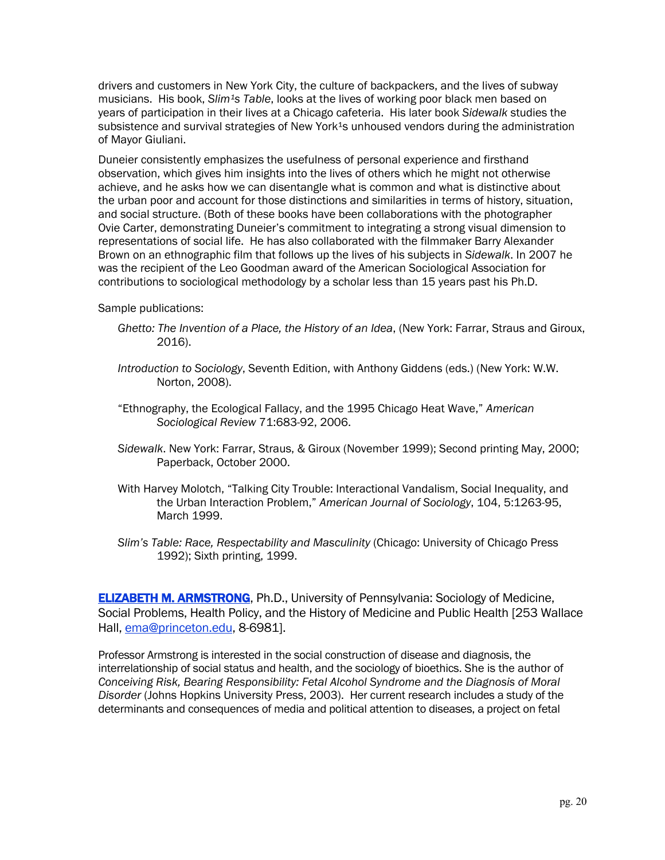drivers and customers in New York City, the culture of backpackers, and the lives of subway musicians. His book, *Slim<sup>1</sup>s Table*, looks at the lives of working poor black men based on years of participation in their lives at a Chicago cafeteria. His later book *Sidewalk* studies the subsistence and survival strategies of New York<sup>1</sup>s unhoused vendors during the administration of Mayor Giuliani.

Duneier consistently emphasizes the usefulness of personal experience and firsthand observation, which gives him insights into the lives of others which he might not otherwise achieve, and he asks how we can disentangle what is common and what is distinctive about the urban poor and account for those distinctions and similarities in terms of history, situation, and social structure. (Both of these books have been collaborations with the photographer Ovie Carter, demonstrating Duneier's commitment to integrating a strong visual dimension to representations of social life. He has also collaborated with the filmmaker Barry Alexander Brown on an ethnographic film that follows up the lives of his subjects in *Sidewalk*. In 2007 he was the recipient of the Leo Goodman award of the American Sociological Association for contributions to sociological methodology by a scholar less than 15 years past his Ph.D.

Sample publications:

- *Ghetto: The Invention of a Place, the History of an Idea*, (New York: Farrar, Straus and Giroux, 2016).
- *Introduction to Sociology*, Seventh Edition, with Anthony Giddens (eds.) (New York: W.W. Norton, 2008).
- "Ethnography, the Ecological Fallacy, and the 1995 Chicago Heat Wave," *American Sociological Review* 71:683-92, 2006.
- *Sidewalk*. New York: Farrar, Straus, & Giroux (November 1999); Second printing May, 2000; Paperback, October 2000.
- With Harvey Molotch, "Talking City Trouble: Interactional Vandalism, Social Inequality, and the Urban Interaction Problem," *American Journal of Sociology*, 104, 5:1263-95, March 1999.
- *Slim's Table: Race, Respectability and Masculinity* (Chicago: University of Chicago Press 1992); Sixth printing, 1999.

ELIZABETH M. ARMSTRONG, Ph.D., University of Pennsylvania: Sociology of Medicine, Social Problems, Health Policy, and the History of Medicine and Public Health [253 Wallace Hall, ema@princeton.edu, 8-6981].

Professor Armstrong is interested in the social construction of disease and diagnosis, the interrelationship of social status and health, and the sociology of bioethics. She is the author of *Conceiving Risk, Bearing Responsibility: Fetal Alcohol Syndrome and the Diagnosis of Moral Disorder* (Johns Hopkins University Press, 2003). Her current research includes a study of the determinants and consequences of media and political attention to diseases, a project on fetal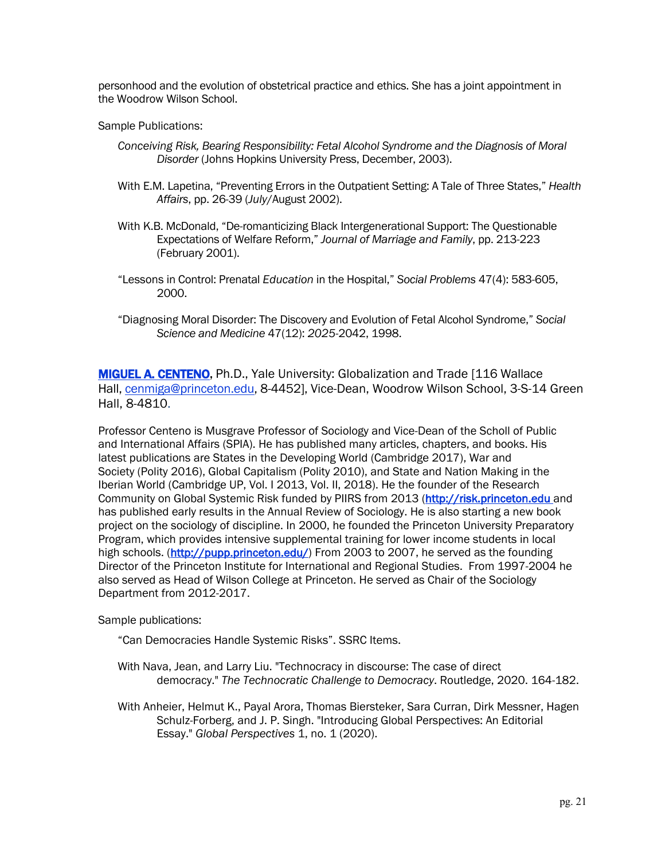personhood and the evolution of obstetrical practice and ethics. She has a joint appointment in the Woodrow Wilson School.

Sample Publications:

- *Conceiving Risk, Bearing Responsibility: Fetal Alcohol Syndrome and the Diagnosis of Moral Disorder* (Johns Hopkins University Press, December, 2003).
- With E.M. Lapetina, "Preventing Errors in the Outpatient Setting: A Tale of Three States," *Health Affairs*, pp. 26-39 (*July*/August 2002).
- With K.B. McDonald, "De-romanticizing Black Intergenerational Support: The Questionable Expectations of Welfare Reform," *Journal of Marriage and Family*, pp. 213-223 (February 2001).
- "Lessons in Control: Prenatal *Education* in the Hospital," *Social Problems* 47(4): 583-605, 2000.
- "Diagnosing Moral Disorder: The Discovery and Evolution of Fetal Alcohol Syndrome," *Social Science and Medicine* 47(12): *2025*-2042, 1998.

**MIGUEL A. CENTENO,** Ph.D., Yale University: Globalization and Trade [116 Wallace Hall, cenmiga@princeton.edu, 8-4452], Vice-Dean, Woodrow Wilson School, 3-S-14 Green Hall, 8-4810.

Professor Centeno is Musgrave Professor of Sociology and Vice-Dean of the Scholl of Public and International Affairs (SPIA). He has published many articles, chapters, and books. His latest publications are States in the Developing World (Cambridge 2017), War and Society (Polity 2016), Global Capitalism (Polity 2010), and State and Nation Making in the Iberian World (Cambridge UP, Vol. I 2013, Vol. II, 2018). He the founder of the Research Community on Global Systemic Risk funded by PIIRS from 2013 (http://risk.princeton.edu and has published early results in the Annual Review of Sociology. He is also starting a new book project on the sociology of discipline. In 2000, he founded the Princeton University Preparatory Program, which provides intensive supplemental training for lower income students in local high schools. (http://pupp.princeton.edu/) From 2003 to 2007, he served as the founding Director of the Princeton Institute for International and Regional Studies. From 1997-2004 he also served as Head of Wilson College at Princeton. He served as Chair of the Sociology Department from 2012-2017.

Sample publications:

- "Can Democracies Handle Systemic Risks". SSRC Items.
- With Nava, Jean, and Larry Liu. "Technocracy in discourse: The case of direct democracy." *The Technocratic Challenge to Democracy*. Routledge, 2020. 164-182.
- With Anheier, Helmut K., Payal Arora, Thomas Biersteker, Sara Curran, Dirk Messner, Hagen Schulz-Forberg, and J. P. Singh. "Introducing Global Perspectives: An Editorial Essay." *Global Perspectives* 1, no. 1 (2020).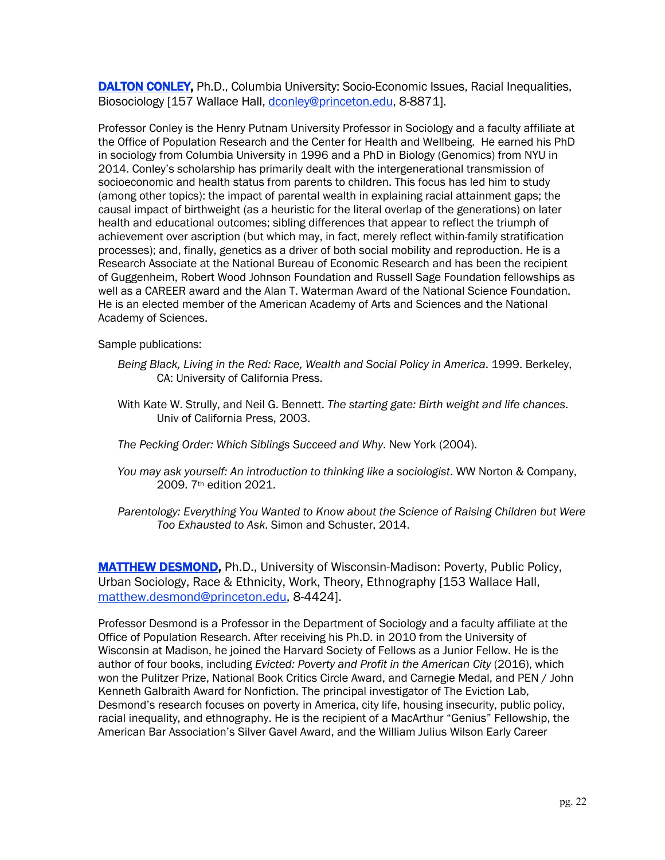DALTON CONLEY, Ph.D., Columbia University: Socio-Economic Issues, Racial Inequalities, Biosociology [157 Wallace Hall, dconley@princeton.edu, 8-8871].

Professor Conley is the Henry Putnam University Professor in Sociology and a faculty affiliate at the Office of Population Research and the Center for Health and Wellbeing. He earned his PhD in sociology from Columbia University in 1996 and a PhD in Biology (Genomics) from NYU in 2014. Conley's scholarship has primarily dealt with the intergenerational transmission of socioeconomic and health status from parents to children. This focus has led him to study (among other topics): the impact of parental wealth in explaining racial attainment gaps; the causal impact of birthweight (as a heuristic for the literal overlap of the generations) on later health and educational outcomes; sibling differences that appear to reflect the triumph of achievement over ascription (but which may, in fact, merely reflect within-family stratification processes); and, finally, genetics as a driver of both social mobility and reproduction. He is a Research Associate at the National Bureau of Economic Research and has been the recipient of Guggenheim, Robert Wood Johnson Foundation and Russell Sage Foundation fellowships as well as a CAREER award and the Alan T. Waterman Award of the National Science Foundation. He is an elected member of the American Academy of Arts and Sciences and the National Academy of Sciences.

Sample publications:

- *Being Black, Living in the Red: Race, Wealth and Social Policy in America*. 1999. Berkeley, CA: University of California Press.
- With Kate W. Strully, and Neil G. Bennett. *The starting gate: Birth weight and life chances*. Univ of California Press, 2003.
- *The Pecking Order: Which Siblings Succeed and Why*. New York (2004).
- *You may ask yourself: An introduction to thinking like a sociologist*. WW Norton & Company, 2009. 7th edition 2021.
- *Parentology: Everything You Wanted to Know about the Science of Raising Children but Were Too Exhausted to Ask*. Simon and Schuster, 2014.

**MATTHEW DESMOND, Ph.D., University of Wisconsin-Madison: Poverty, Public Policy,** Urban Sociology, Race & Ethnicity, Work, Theory, Ethnography [153 Wallace Hall, matthew.desmond@princeton.edu, 8-4424].

Professor Desmond is a Professor in the Department of Sociology and a faculty affiliate at the Office of Population Research. After receiving his Ph.D. in 2010 from the University of Wisconsin at Madison, he joined the Harvard Society of Fellows as a Junior Fellow. He is the author of four books, including *Evicted: Poverty and Profit in the American City* (2016), which won the Pulitzer Prize, National Book Critics Circle Award, and Carnegie Medal, and PEN / John Kenneth Galbraith Award for Nonfiction. The principal investigator of The Eviction Lab, Desmond's research focuses on poverty in America, city life, housing insecurity, public policy, racial inequality, and ethnography. He is the recipient of a MacArthur "Genius" Fellowship, the American Bar Association's Silver Gavel Award, and the William Julius Wilson Early Career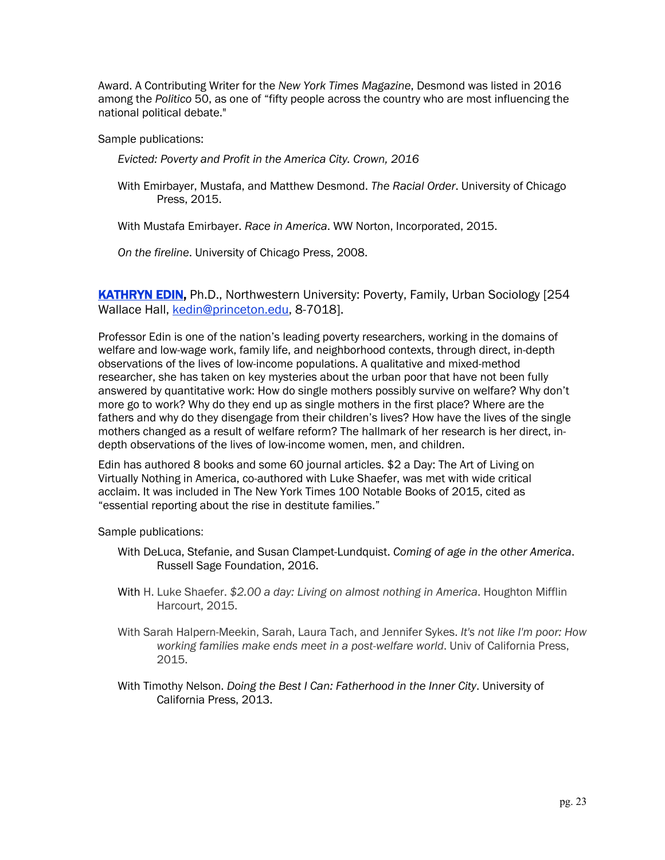Award. A Contributing Writer for the *New York Times Magazine*, Desmond was listed in 2016 among the *Politico* 50, as one of "fifty people across the country who are most influencing the national political debate."

Sample publications:

*Evicted: Poverty and Profit in the America City. Crown, 2016*

With Emirbayer, Mustafa, and Matthew Desmond. *The Racial Order*. University of Chicago Press, 2015.

With Mustafa Emirbayer. *Race in America*. WW Norton, Incorporated, 2015.

*On the fireline*. University of Chicago Press, 2008.

KATHRYN EDIN, Ph.D., Northwestern University: Poverty, Family, Urban Sociology [254 Wallace Hall, kedin@princeton.edu, 8-7018].

Professor Edin is one of the nation's leading poverty researchers, working in the domains of welfare and low-wage work, family life, and neighborhood contexts, through direct, in-depth observations of the lives of low-income populations. A qualitative and mixed-method researcher, she has taken on key mysteries about the urban poor that have not been fully answered by quantitative work: How do single mothers possibly survive on welfare? Why don't more go to work? Why do they end up as single mothers in the first place? Where are the fathers and why do they disengage from their children's lives? How have the lives of the single mothers changed as a result of welfare reform? The hallmark of her research is her direct, indepth observations of the lives of low-income women, men, and children.

Edin has authored 8 books and some 60 journal articles. \$2 a Day: The Art of Living on Virtually Nothing in America, co-authored with Luke Shaefer, was met with wide critical acclaim. It was included in The New York Times 100 Notable Books of 2015, cited as "essential reporting about the rise in destitute families."

Sample publications:

- With DeLuca, Stefanie, and Susan Clampet-Lundquist. *Coming of age in the other America*. Russell Sage Foundation, 2016.
- With H. Luke Shaefer. *\$2.00 a day: Living on almost nothing in America*. Houghton Mifflin Harcourt, 2015.
- With Sarah Halpern-Meekin, Sarah, Laura Tach, and Jennifer Sykes. *It's not like I'm poor: How working families make ends meet in a post-welfare world*. Univ of California Press, 2015.
- With Timothy Nelson. *Doing the Best I Can: Fatherhood in the Inner City*. University of California Press, 2013.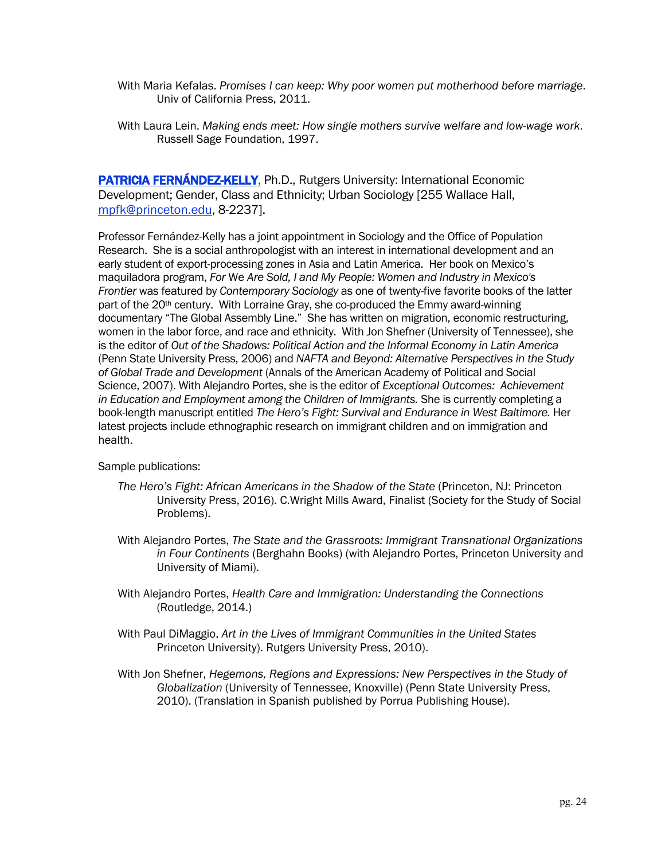- With Maria Kefalas. *Promises I can keep: Why poor women put motherhood before marriage*. Univ of California Press, 2011.
- With Laura Lein. *Making ends meet: How single mothers survive welfare and low-wage work*. Russell Sage Foundation, 1997.

PATRICIA FERNÁNDEZ-KELLY, Ph.D., Rutgers University: International Economic Development; Gender, Class and Ethnicity; Urban Sociology [255 Wallace Hall, mpfk@princeton.edu, 8-2237].

Professor Fernández-Kelly has a joint appointment in Sociology and the Office of Population Research. She is a social anthropologist with an interest in international development and an early student of export-processing zones in Asia and Latin America. Her book on Mexico's maquiladora program, *For* We *Are Sold, I and My People: Women and Industry in Mexico's Frontier* was featured by *Contemporary Sociology* as one of twenty-five favorite books of the latter part of the 20<sup>th</sup> century. With Lorraine Gray, she co-produced the Emmy award-winning documentary "The Global Assembly Line." She has written on migration, economic restructuring, women in the labor force, and race and ethnicity. With Jon Shefner (University of Tennessee), she is the editor of *Out of the Shadows: Political Action and the Informal Economy in Latin America*  (Penn State University Press, 2006) and *NAFTA and Beyond: Alternative Perspectives in the Study of Global Trade and Development* (Annals of the American Academy of Political and Social Science, 2007). With Alejandro Portes, she is the editor of *Exceptional Outcomes: Achievement in Education and Employment among the Children of Immigrants.* She is currently completing a book-length manuscript entitled *The Hero's Fight: Survival and Endurance in West Baltimore.* Her latest projects include ethnographic research on immigrant children and on immigration and health.

Sample publications:

- *The Hero's Fight: African Americans in the Shadow of the State* (Princeton, NJ: Princeton University Press, 2016). C.Wright Mills Award, Finalist (Society for the Study of Social Problems).
- With Alejandro Portes, *The State and the Grassroots: Immigrant Transnational Organizations in Four Continents* (Berghahn Books) (with Alejandro Portes, Princeton University and University of Miami).
- With Alejandro Portes, *Health Care and Immigration: Understanding the Connections* (Routledge, 2014.)
- With Paul DiMaggio, *Art in the Lives of Immigrant Communities in the United States* Princeton University). Rutgers University Press, 2010).
- With Jon Shefner, *Hegemons, Regions and Expressions: New Perspectives in the Study of Globalization* (University of Tennessee, Knoxville) (Penn State University Press, 2010). (Translation in Spanish published by Porrua Publishing House).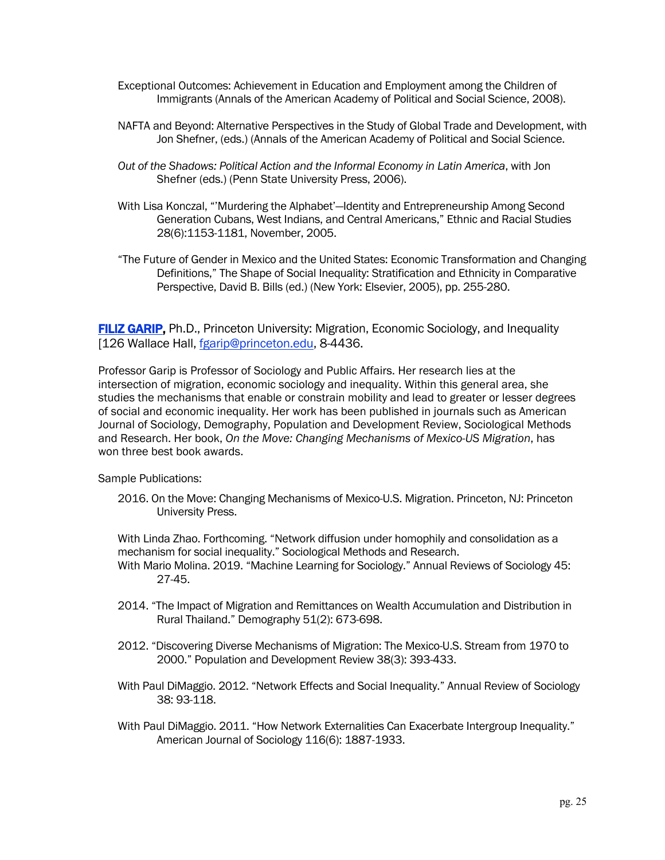- Exceptional Outcomes: Achievement in Education and Employment among the Children of Immigrants (Annals of the American Academy of Political and Social Science, 2008).
- NAFTA and Beyond: Alternative Perspectives in the Study of Global Trade and Development, with Jon Shefner, (eds.) (Annals of the American Academy of Political and Social Science.
- *Out of the Shadows: Political Action and the Informal Economy in Latin America*, with Jon Shefner (eds.) (Penn State University Press, 2006).
- With Lisa Konczal, "'Murdering the Alphabet'—Identity and Entrepreneurship Among Second Generation Cubans, West Indians, and Central Americans," Ethnic and Racial Studies 28(6):1153-1181, November, 2005.
- "The Future of Gender in Mexico and the United States: Economic Transformation and Changing Definitions," The Shape of Social Inequality: Stratification and Ethnicity in Comparative Perspective, David B. Bills (ed.) (New York: Elsevier, 2005), pp. 255-280.

FILIZ GARIP, Ph.D., Princeton University: Migration, Economic Sociology, and Inequality [126 Wallace Hall, fgarip@princeton.edu, 8-4436.

Professor Garip is Professor of Sociology and Public Affairs. Her research lies at the intersection of migration, economic sociology and inequality. Within this general area, she studies the mechanisms that enable or constrain mobility and lead to greater or lesser degrees of social and economic inequality. Her work has been published in journals such as American Journal of Sociology, Demography, Population and Development Review, Sociological Methods and Research. Her book, *On the Move: Changing Mechanisms of Mexico-US Migration*, has won three best book awards.

Sample Publications:

2016. On the Move: Changing Mechanisms of Mexico-U.S. Migration. Princeton, NJ: Princeton University Press.

With Linda Zhao. Forthcoming. "Network diffusion under homophily and consolidation as a mechanism for social inequality." Sociological Methods and Research. With Mario Molina. 2019. "Machine Learning for Sociology." Annual Reviews of Sociology 45: 27-45.

- 2014. "The Impact of Migration and Remittances on Wealth Accumulation and Distribution in Rural Thailand." Demography 51(2): 673-698.
- 2012. "Discovering Diverse Mechanisms of Migration: The Mexico-U.S. Stream from 1970 to 2000." Population and Development Review 38(3): 393-433.
- With Paul DiMaggio. 2012. "Network Effects and Social Inequality." Annual Review of Sociology 38: 93-118.
- With Paul DiMaggio. 2011. "How Network Externalities Can Exacerbate Intergroup Inequality." American Journal of Sociology 116(6): 1887-1933.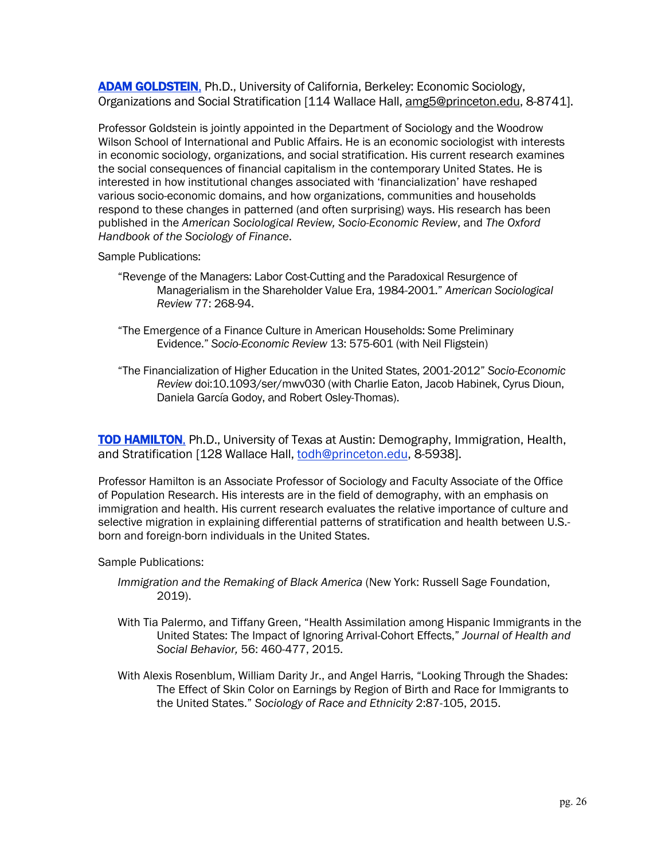ADAM GOLDSTEIN, Ph.D., University of California, Berkeley: Economic Sociology, Organizations and Social Stratification [114 Wallace Hall, amg5@princeton.edu, 8-8741].

Professor Goldstein is jointly appointed in the Department of Sociology and the Woodrow Wilson School of International and Public Affairs. He is an economic sociologist with interests in economic sociology, organizations, and social stratification. His current research examines the social consequences of financial capitalism in the contemporary United States. He is interested in how institutional changes associated with 'financialization' have reshaped various socio-economic domains, and how organizations, communities and households respond to these changes in patterned (and often surprising) ways. His research has been published in the *American Sociological Review, Socio-Economic Review*, and *The Oxford Handbook of the Sociology of Finance*.

Sample Publications:

- "Revenge of the Managers: Labor Cost-Cutting and the Paradoxical Resurgence of Managerialism in the Shareholder Value Era, 1984-2001." *American Sociological Review* 77: 268-94.
- "The Emergence of a Finance Culture in American Households: Some Preliminary Evidence." *Socio-Economic Review* 13: 575-601 (with Neil Fligstein)
- "The Financialization of Higher Education in the United States, 2001-2012" *Socio-Economic Review* doi:10.1093/ser/mwv030 (with Charlie Eaton, Jacob Habinek, Cyrus Dioun, Daniela García Godoy, and Robert Osley-Thomas).

**TOD HAMILTON, Ph.D., University of Texas at Austin: Demography, Immigration, Health,** and Stratification [128 Wallace Hall, todh@princeton.edu, 8-5938].

Professor Hamilton is an Associate Professor of Sociology and Faculty Associate of the Office of Population Research. His interests are in the field of demography, with an emphasis on immigration and health. His current research evaluates the relative importance of culture and selective migration in explaining differential patterns of stratification and health between U.S. born and foreign-born individuals in the United States.

Sample Publications:

- *Immigration and the Remaking of Black America* (New York: Russell Sage Foundation, 2019).
- With Tia Palermo, and Tiffany Green, "Health Assimilation among Hispanic Immigrants in the United States: The Impact of Ignoring Arrival-Cohort Effects," *Journal of Health and Social Behavior,* 56: 460-477, 2015.
- With Alexis Rosenblum, William Darity Jr., and Angel Harris, "Looking Through the Shades: The Effect of Skin Color on Earnings by Region of Birth and Race for Immigrants to the United States." *Sociology of Race and Ethnicity* 2:87-105, 2015.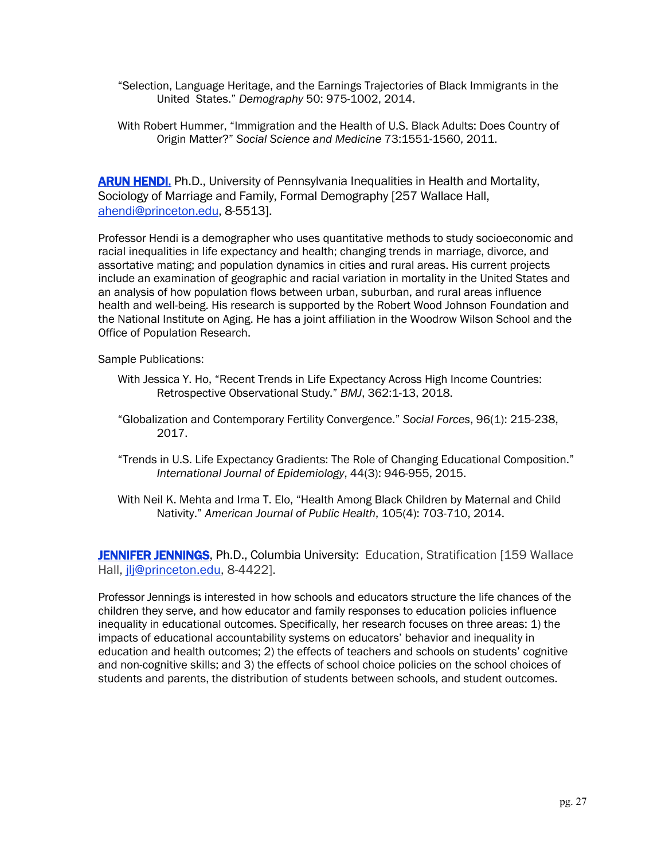- "Selection, Language Heritage, and the Earnings Trajectories of Black Immigrants in the United States." *Demography* 50: 975-1002, 2014.
- With Robert Hummer, "Immigration and the Health of U.S. Black Adults: Does Country of Origin Matter?" *Social Science and Medicine* 73:1551-1560, 2011.

**ARUN HENDI, Ph.D., University of Pennsylvania Inequalities in Health and Mortality,** Sociology of Marriage and Family, Formal Demography [257 Wallace Hall, ahendi@princeton.edu, 8-5513].

Professor Hendi is a demographer who uses quantitative methods to study socioeconomic and racial inequalities in life expectancy and health; changing trends in marriage, divorce, and assortative mating; and population dynamics in cities and rural areas. His current projects include an examination of geographic and racial variation in mortality in the United States and an analysis of how population flows between urban, suburban, and rural areas influence health and well-being. His research is supported by the Robert Wood Johnson Foundation and the National Institute on Aging. He has a joint affiliation in the Woodrow Wilson School and the Office of Population Research.

Sample Publications:

- With Jessica Y. Ho, "Recent Trends in Life Expectancy Across High Income Countries: Retrospective Observational Study." *BMJ*, 362:1-13, 2018.
- "Globalization and Contemporary Fertility Convergence." *Social Forces*, 96(1): 215-238, 2017.
- "Trends in U.S. Life Expectancy Gradients: The Role of Changing Educational Composition." *International Journal of Epidemiology*, 44(3): 946-955, 2015.
- With Neil K. Mehta and Irma T. Elo, "Health Among Black Children by Maternal and Child Nativity." *American Journal of Public Health*, 105(4): 703-710, 2014.

JENNIFER JENNINGS, Ph.D., Columbia University: Education, Stratification [159 Wallace Hall, jlj@princeton.edu, 8-4422].

Professor Jennings is interested in how schools and educators structure the life chances of the children they serve, and how educator and family responses to education policies influence inequality in educational outcomes. Specifically, her research focuses on three areas: 1) the impacts of educational accountability systems on educators' behavior and inequality in education and health outcomes; 2) the effects of teachers and schools on students' cognitive and non-cognitive skills; and 3) the effects of school choice policies on the school choices of students and parents, the distribution of students between schools, and student outcomes.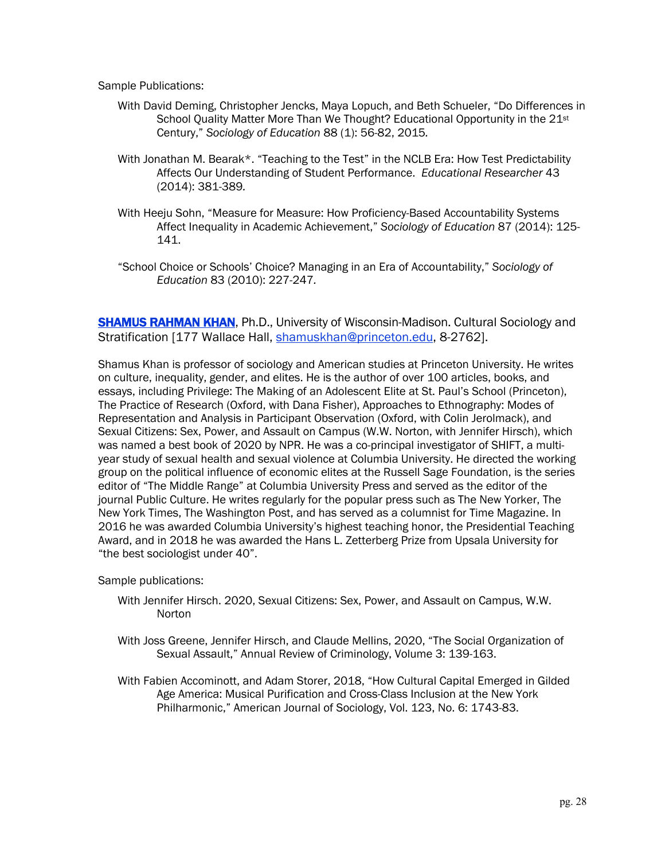Sample Publications:

- With David Deming, Christopher Jencks, Maya Lopuch, and Beth Schueler, "Do Differences in School Quality Matter More Than We Thought? Educational Opportunity in the 21<sup>st</sup> Century," *Sociology of Education* 88 (1): 56-82, 2015*.*
- With Jonathan M. Bearak\*. "Teaching to the Test" in the NCLB Era: How Test Predictability Affects Our Understanding of Student Performance. *Educational Researcher* 43 (2014): 381-389*.*
- With Heeju Sohn, "Measure for Measure: How Proficiency-Based Accountability Systems Affect Inequality in Academic Achievement," *Sociology of Education* 87 (2014): 125- 141.
- "School Choice or Schools' Choice? Managing in an Era of Accountability," *Sociology of Education* 83 (2010): 227-247*.*

**SHAMUS RAHMAN KHAN, Ph.D., University of Wisconsin-Madison. Cultural Sociology and** Stratification [177 Wallace Hall, shamuskhan@princeton.edu, 8-2762].

Shamus Khan is professor of sociology and American studies at Princeton University. He writes on culture, inequality, gender, and elites. He is the author of over 100 articles, books, and essays, including Privilege: The Making of an Adolescent Elite at St. Paul's School (Princeton), The Practice of Research (Oxford, with Dana Fisher), Approaches to Ethnography: Modes of Representation and Analysis in Participant Observation (Oxford, with Colin Jerolmack), and Sexual Citizens: Sex, Power, and Assault on Campus (W.W. Norton, with Jennifer Hirsch), which was named a best book of 2020 by NPR. He was a co-principal investigator of SHIFT, a multiyear study of sexual health and sexual violence at Columbia University. He directed the working group on the political influence of economic elites at the Russell Sage Foundation, is the series editor of "The Middle Range" at Columbia University Press and served as the editor of the journal Public Culture. He writes regularly for the popular press such as The New Yorker, The New York Times, The Washington Post, and has served as a columnist for Time Magazine. In 2016 he was awarded Columbia University's highest teaching honor, the Presidential Teaching Award, and in 2018 he was awarded the Hans L. Zetterberg Prize from Upsala University for "the best sociologist under 40".

Sample publications:

- With Jennifer Hirsch. 2020, Sexual Citizens: Sex, Power, and Assault on Campus, W.W. **Norton**
- With Joss Greene, Jennifer Hirsch, and Claude Mellins, 2020, "The Social Organization of Sexual Assault," Annual Review of Criminology, Volume 3: 139-163.
- With Fabien Accominott, and Adam Storer, 2018, "How Cultural Capital Emerged in Gilded Age America: Musical Purification and Cross-Class Inclusion at the New York Philharmonic," American Journal of Sociology, Vol. 123, No. 6: 1743-83.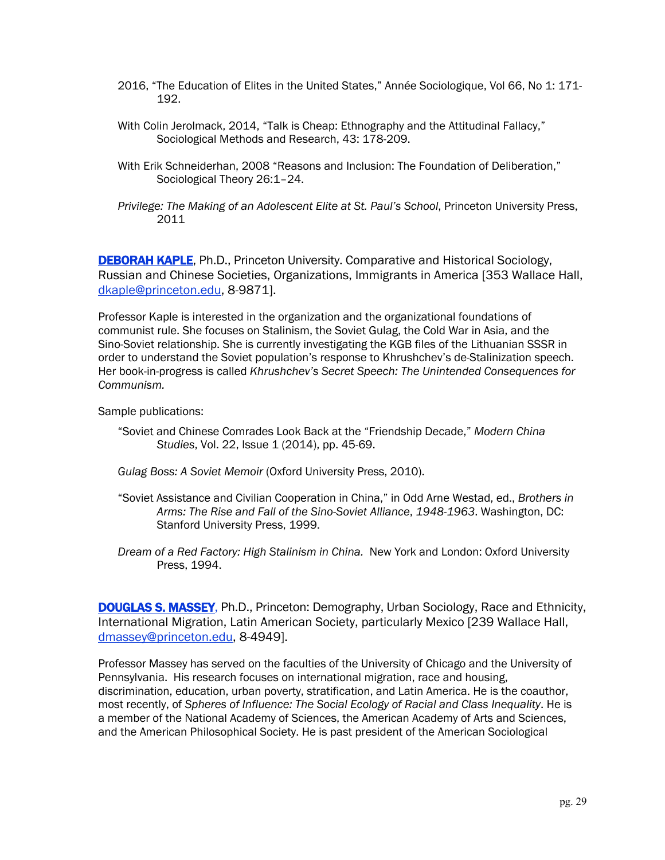- 2016, "The Education of Elites in the United States," Année Sociologique, Vol 66, No 1: 171- 192.
- With Colin Jerolmack, 2014, "Talk is Cheap: Ethnography and the Attitudinal Fallacy," Sociological Methods and Research, 43: 178-209.
- With Erik Schneiderhan, 2008 "Reasons and Inclusion: The Foundation of Deliberation," Sociological Theory 26:1–24.
- *Privilege: The Making of an Adolescent Elite at St. Paul's School*, Princeton University Press, 2011

**DEBORAH KAPLE, Ph.D., Princeton University. Comparative and Historical Sociology,** Russian and Chinese Societies, Organizations, Immigrants in America [353 Wallace Hall, dkaple@princeton.edu, 8-9871].

Professor Kaple is interested in the organization and the organizational foundations of communist rule. She focuses on Stalinism, the Soviet Gulag, the Cold War in Asia, and the Sino-Soviet relationship. She is currently investigating the KGB files of the Lithuanian SSSR in order to understand the Soviet population's response to Khrushchev's de-Stalinization speech. Her book-in-progress is called *Khrushchev's Secret Speech: The Unintended Consequences for Communism.* 

Sample publications:

- "Soviet and Chinese Comrades Look Back at the "Friendship Decade," *Modern China Studies*, Vol. 22, Issue 1 (2014), pp. 45-69.
- *Gulag Boss: A Soviet Memoir* (Oxford University Press, 2010).
- "Soviet Assistance and Civilian Cooperation in China," in Odd Arne Westad, ed., *Brothers in Arms: The Rise and Fall of the Sino-Soviet Alliance*, *1948-1963*. Washington, DC: Stanford University Press, 1999.
- *Dream of a Red Factory: High Stalinism in China.* New York and London: Oxford University Press, 1994.

DOUGLAS S. MASSEY, Ph.D., Princeton: Demography, Urban Sociology, Race and Ethnicity, International Migration, Latin American Society, particularly Mexico [239 Wallace Hall, dmassey@princeton.edu, 8-4949].

Professor Massey has served on the faculties of the University of Chicago and the University of Pennsylvania. His research focuses on international migration, race and housing, discrimination, education, urban poverty, stratification, and Latin America. He is the coauthor, most recently, of *Spheres of Influence: The Social Ecology of Racial and Class Inequality*. He is a member of the National Academy of Sciences, the American Academy of Arts and Sciences, and the American Philosophical Society. He is past president of the American Sociological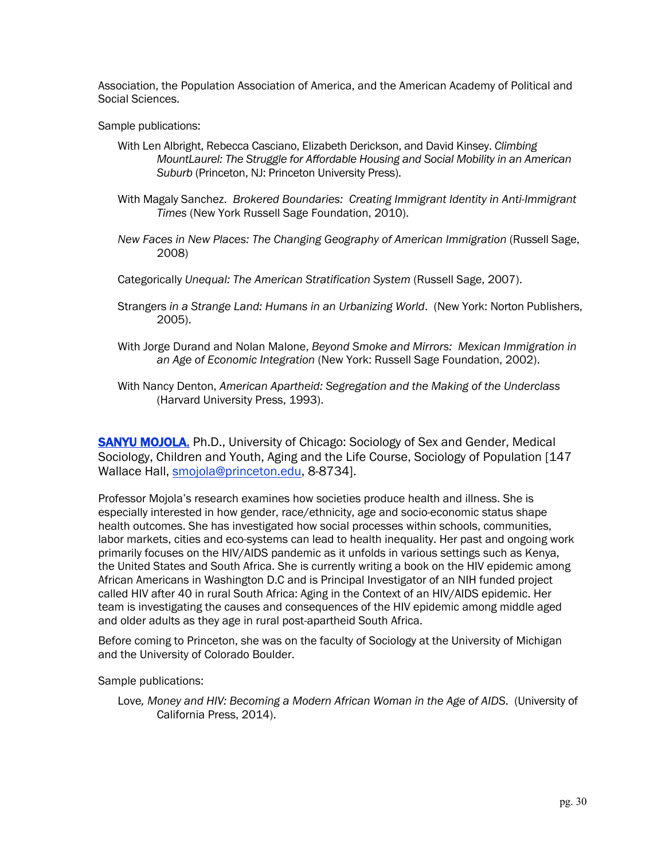Association, the Population Association of America, and the American Academy of Political and Social Sciences.

Sample publications:

- With Len Albright, Rebecca Casciano, Elizabeth Derickson, and David Kinsey. *Climbing MountLaurel: The Struggle for Affordable Housing and Social Mobility in an American Suburb* (Princeton, NJ: Princeton University Press).
- With Magaly Sanchez. *Brokered Boundaries: Creating Immigrant Identity in Anti-Immigrant Times* (New York Russell Sage Foundation, 2010).
- *New Faces in New Places: The Changing Geography of American Immigration* (Russell Sage, 2008)
- Categorically *Unequal: The American Stratification System* (Russell Sage, 2007).
- Strangers *in a Strange Land: Humans in an Urbanizing World*. (New York: Norton Publishers, 2005).
- With Jorge Durand and Nolan Malone, *Beyond Smoke and Mirrors: Mexican Immigration in an Age of Economic Integration* (New York: Russell Sage Foundation, 2002).
- With Nancy Denton, *American Apartheid: Segregation and the Making of the Underclass*  (Harvard University Press, 1993).

**SANYU MOJOLA,** Ph.D., University of Chicago: Sociology of Sex and Gender, Medical Sociology, Children and Youth, Aging and the Life Course, Sociology of Population [147 Wallace Hall, smojola@princeton.edu, 8-8734].

Professor Mojola's research examines how societies produce health and illness. She is especially interested in how gender, race/ethnicity, age and socio-economic status shape health outcomes. She has investigated how social processes within schools, communities, labor markets, cities and eco-systems can lead to health inequality. Her past and ongoing work primarily focuses on the HIV/AIDS pandemic as it unfolds in various settings such as Kenya, the United States and South Africa. She is currently writing a book on the HIV epidemic among African Americans in Washington D.C and is Principal Investigator of an NIH funded project called HIV after 40 in rural South Africa: Aging in the Context of an HIV/AIDS epidemic. Her team is investigating the causes and consequences of the HIV epidemic among middle aged and older adults as they age in rural post-apartheid South Africa.

Before coming to Princeton, she was on the faculty of Sociology at the University of Michigan and the University of Colorado Boulder.

Sample publications:

Love*, Money and HIV: Becoming a Modern African Woman in the Age of AIDS*. (University of California Press, 2014).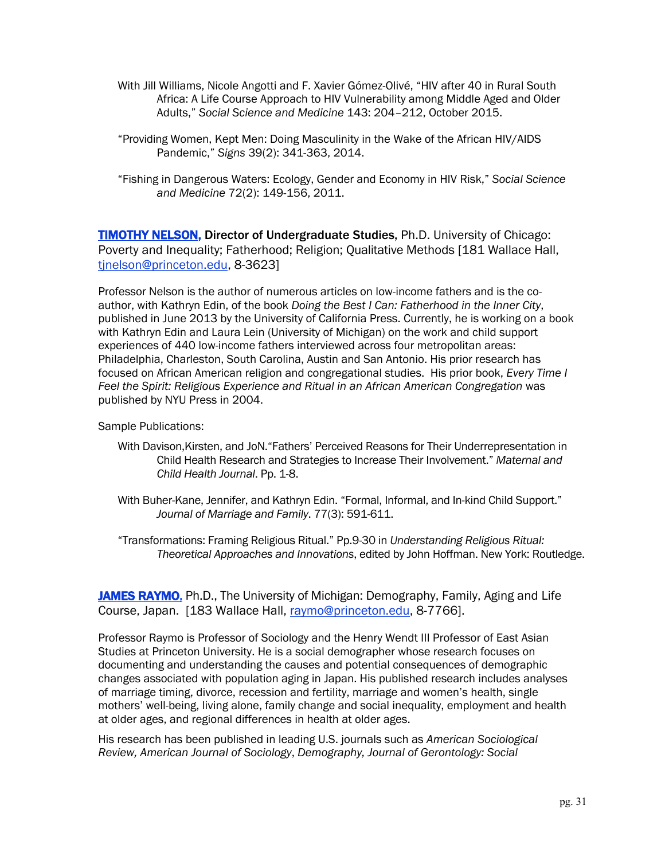- With Jill Williams, Nicole Angotti and F. Xavier Gómez-Olivé, "HIV after 40 in Rural South Africa: A Life Course Approach to HIV Vulnerability among Middle Aged and Older Adults," *Social Science and Medicine* 143: 204–212, October 2015.
- "Providing Women, Kept Men: Doing Masculinity in the Wake of the African HIV/AIDS Pandemic," *Signs* 39(2): 341-363, 2014.
- "Fishing in Dangerous Waters: Ecology, Gender and Economy in HIV Risk," *Social Science and Medicine* 72(2): 149-156, 2011.

**TIMOTHY NELSON, Director of Undergraduate Studies, Ph.D. University of Chicago:** Poverty and Inequality; Fatherhood; Religion; Qualitative Methods [181 Wallace Hall, tjnelson@princeton.edu, 8-3623]

Professor Nelson is the author of numerous articles on low-income fathers and is the coauthor, with Kathryn Edin, of the book *Doing the Best I Can: Fatherhood in the Inner City*, published in June 2013 by the University of California Press. Currently, he is working on a book with Kathryn Edin and Laura Lein (University of Michigan) on the work and child support experiences of 440 low-income fathers interviewed across four metropolitan areas: Philadelphia, Charleston, South Carolina, Austin and San Antonio. His prior research has focused on African American religion and congregational studies. His prior book, *Every Time I Feel the Spirit: Religious Experience and Ritual in an African American Congregation* was published by NYU Press in 2004.

Sample Publications:

- With Davison,Kirsten, and JoN."Fathers' Perceived Reasons for Their Underrepresentation in Child Health Research and Strategies to Increase Their Involvement." *Maternal and Child Health Journal*. Pp. 1-8.
- With Buher-Kane, Jennifer, and Kathryn Edin. "Formal, Informal, and In-kind Child Support." *Journal of Marriage and Family*. 77(3): 591-611.
- "Transformations: Framing Religious Ritual." Pp.9-30 in *Understanding Religious Ritual: Theoretical Approaches and Innovations*, edited by John Hoffman. New York: Routledge.

**JAMES RAYMO,** Ph.D., The University of Michigan: Demography, Family, Aging and Life Course, Japan. [183 Wallace Hall, raymo@princeton.edu, 8-7766].

Professor Raymo is Professor of Sociology and the Henry Wendt III Professor of East Asian Studies at Princeton University. He is a social demographer whose research focuses on documenting and understanding the causes and potential consequences of demographic changes associated with population aging in Japan. His published research includes analyses of marriage timing, divorce, recession and fertility, marriage and women's health, single mothers' well-being, living alone, family change and social inequality, employment and health at older ages, and regional differences in health at older ages.

His research has been published in leading U.S. journals such as *American Sociological Review, American Journal of Sociology*, *Demography, Journal of Gerontology: Social*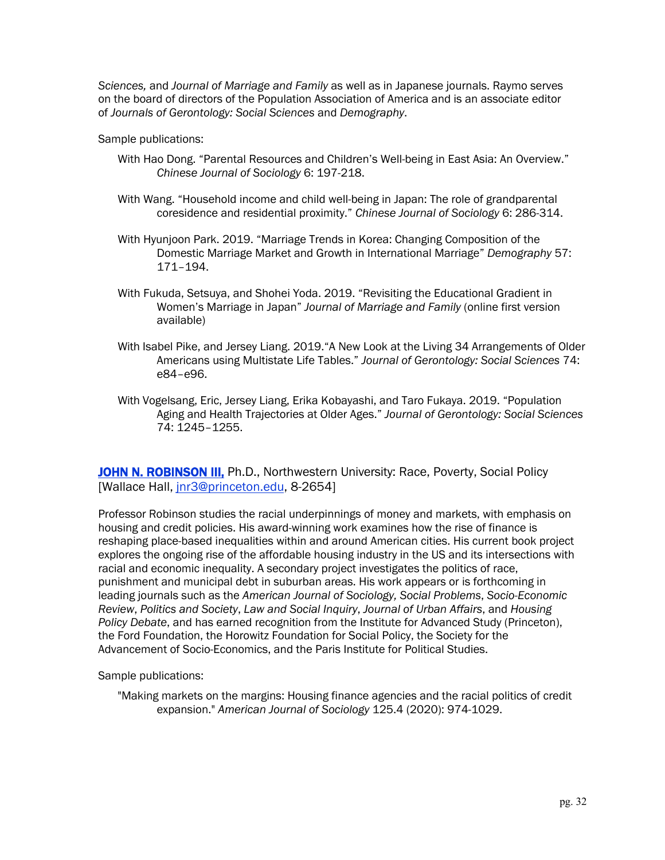*Sciences,* and *Journal of Marriage and Family* as well as in Japanese journals. Raymo serves on the board of directors of the Population Association of America and is an associate editor of *Journals of Gerontology: Social Sciences* and *Demography*.

Sample publications:

- With Hao Dong. "Parental Resources and Children's Well-being in East Asia: An Overview." *Chinese Journal of Sociology* 6: 197-218.
- With Wang. "Household income and child well-being in Japan: The role of grandparental coresidence and residential proximity." *Chinese Journal of Sociology* 6: 286-314.
- With Hyunjoon Park. 2019. "Marriage Trends in Korea: Changing Composition of the Domestic Marriage Market and Growth in International Marriage" *Demography* 57: 171–194.
- With Fukuda, Setsuya, and Shohei Yoda. 2019. "Revisiting the Educational Gradient in Women's Marriage in Japan" *Journal of Marriage and Family* (online first version available)
- With Isabel Pike, and Jersey Liang. 2019."A New Look at the Living 34 Arrangements of Older Americans using Multistate Life Tables." *Journal of Gerontology: Social Sciences* 74: e84–e96.
- With Vogelsang, Eric, Jersey Liang, Erika Kobayashi, and Taro Fukaya. 2019. "Population Aging and Health Trajectories at Older Ages." *Journal of Gerontology: Social Sciences*  74: 1245–1255.

JOHN N. ROBINSON III, Ph.D., Northwestern University: Race, Poverty, Social Policy [Wallace Hall, jnr3@princeton.edu, 8-2654]

Professor Robinson studies the racial underpinnings of money and markets, with emphasis on housing and credit policies. His award-winning work examines how the rise of finance is reshaping place-based inequalities within and around American cities. His current book project explores the ongoing rise of the affordable housing industry in the US and its intersections with racial and economic inequality. A secondary project investigates the politics of race, punishment and municipal debt in suburban areas. His work appears or is forthcoming in leading journals such as the *American Journal of Sociology, Social Problems*, *Socio-Economic Review*, *Politics and Society*, *Law and Social Inquiry*, *Journal of Urban Affairs*, and *Housing Policy Debate*, and has earned recognition from the Institute for Advanced Study (Princeton), the Ford Foundation, the Horowitz Foundation for Social Policy, the Society for the Advancement of Socio-Economics, and the Paris Institute for Political Studies.

Sample publications:

"Making markets on the margins: Housing finance agencies and the racial politics of credit expansion." *American Journal of Sociology* 125.4 (2020): 974-1029.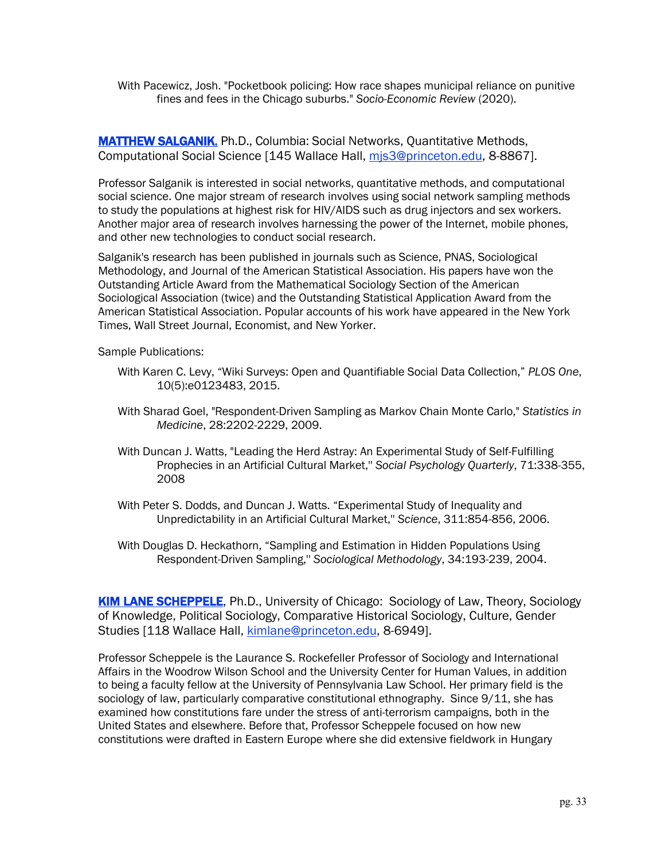With Pacewicz, Josh. "Pocketbook policing: How race shapes municipal reliance on punitive fines and fees in the Chicago suburbs." *Socio-Economic Review* (2020).

**MATTHEW SALGANIK, Ph.D., Columbia: Social Networks, Quantitative Methods,** Computational Social Science [145 Wallace Hall, mjs3@princeton.edu, 8-8867].

Professor Salganik is interested in social networks, quantitative methods, and computational social science. One major stream of research involves using social network sampling methods to study the populations at highest risk for HIV/AIDS such as drug injectors and sex workers. Another major area of research involves harnessing the power of the Internet, mobile phones, and other new technologies to conduct social research.

Salganik's research has been published in journals such as Science, PNAS, Sociological Methodology, and Journal of the American Statistical Association. His papers have won the Outstanding Article Award from the Mathematical Sociology Section of the American Sociological Association (twice) and the Outstanding Statistical Application Award from the American Statistical Association. Popular accounts of his work have appeared in the New York Times, Wall Street Journal, Economist, and New Yorker.

Sample Publications:

- With Karen C. Levy, "Wiki Surveys: Open and Quantifiable Social Data Collection," *PLOS One*, 10(5):e0123483, 2015.
- With Sharad Goel, "Respondent-Driven Sampling as Markov Chain Monte Carlo," *Statistics in Medicine*, 28:2202-2229, 2009.
- With Duncan J. Watts, "Leading the Herd Astray: An Experimental Study of Self-Fulfilling Prophecies in an Artificial Cultural Market,'' *Social Psychology Quarterly*, 71:338-355, 2008
- With Peter S. Dodds, and Duncan J. Watts. "Experimental Study of Inequality and Unpredictability in an Artificial Cultural Market,'' *Science*, 311:854-856, 2006.
- With Douglas D. Heckathorn, "Sampling and Estimation in Hidden Populations Using Respondent-Driven Sampling,'' *Sociological Methodology*, 34:193-239, 2004.

KIM LANE SCHEPPELE, Ph.D., University of Chicago: Sociology of Law, Theory, Sociology of Knowledge, Political Sociology, Comparative Historical Sociology, Culture, Gender Studies [118 Wallace Hall, kimlane@princeton.edu, 8-6949].

Professor Scheppele is the Laurance S. Rockefeller Professor of Sociology and International Affairs in the Woodrow Wilson School and the University Center for Human Values, in addition to being a faculty fellow at the University of Pennsylvania Law School. Her primary field is the sociology of law, particularly comparative constitutional ethnography. Since 9/11, she has examined how constitutions fare under the stress of anti-terrorism campaigns, both in the United States and elsewhere. Before that, Professor Scheppele focused on how new constitutions were drafted in Eastern Europe where she did extensive fieldwork in Hungary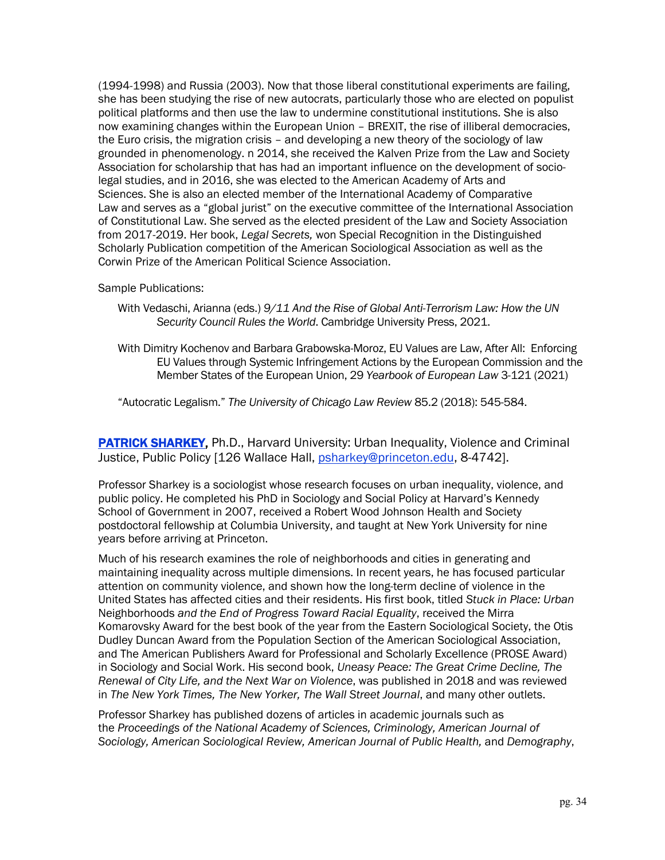(1994-1998) and Russia (2003). Now that those liberal constitutional experiments are failing, she has been studying the rise of new autocrats, particularly those who are elected on populist political platforms and then use the law to undermine constitutional institutions. She is also now examining changes within the European Union – BREXIT, the rise of illiberal democracies, the Euro crisis, the migration crisis – and developing a new theory of the sociology of law grounded in phenomenology. n 2014, she received the Kalven Prize from the Law and Society Association for scholarship that has had an important influence on the development of sociolegal studies, and in 2016, she was elected to the American Academy of Arts and Sciences. She is also an elected member of the International Academy of Comparative Law and serves as a "global jurist" on the executive committee of the International Association of Constitutional Law. She served as the elected president of the Law and Society Association from 2017-2019. Her book, *Legal Secrets,* won Special Recognition in the Distinguished Scholarly Publication competition of the American Sociological Association as well as the Corwin Prize of the American Political Science Association.

Sample Publications:

- With Vedaschi, Arianna (eds.) *9/11 And the Rise of Global Anti-Terrorism Law: How the UN Security Council Rules the World*. Cambridge University Press, 2021.
- With Dimitry Kochenov and Barbara Grabowska-Moroz, EU Values are Law, After All: Enforcing EU Values through Systemic Infringement Actions by the European Commission and the Member States of the European Union, 29 *Yearbook of European Law* 3-121 (2021)

"Autocratic Legalism." *The University of Chicago Law Review* 85.2 (2018): 545-584.

**PATRICK SHARKEY, Ph.D., Harvard University: Urban Inequality, Violence and Criminal** Justice, Public Policy [126 Wallace Hall, psharkey@princeton.edu, 8-4742].

Professor Sharkey is a sociologist whose research focuses on urban inequality, violence, and public policy. He completed his PhD in Sociology and Social Policy at Harvard's Kennedy School of Government in 2007, received a Robert Wood Johnson Health and Society postdoctoral fellowship at Columbia University, and taught at New York University for nine years before arriving at Princeton.

Much of his research examines the role of neighborhoods and cities in generating and maintaining inequality across multiple dimensions. In recent years, he has focused particular attention on community violence, and shown how the long-term decline of violence in the United States has affected cities and their residents. His first book, titled *Stuck in Place: Urban*  Neighborhoods *and the End of Progress Toward Racial Equality*, received the Mirra Komarovsky Award for the best book of the year from the Eastern Sociological Society, the Otis Dudley Duncan Award from the Population Section of the American Sociological Association, and The American Publishers Award for Professional and Scholarly Excellence (PROSE Award) in Sociology and Social Work. His second book, *Uneasy Peace: The Great Crime Decline, The Renewal of City Life, and the Next War on Violence*, was published in 2018 and was reviewed in *The New York Times, The New Yorker, The Wall Street Journal*, and many other outlets.

Professor Sharkey has published dozens of articles in academic journals such as the *Proceedings of the National Academy of Sciences, Criminology, American Journal of Sociology, American Sociological Review, American Journal of Public Health,* and *Demography*,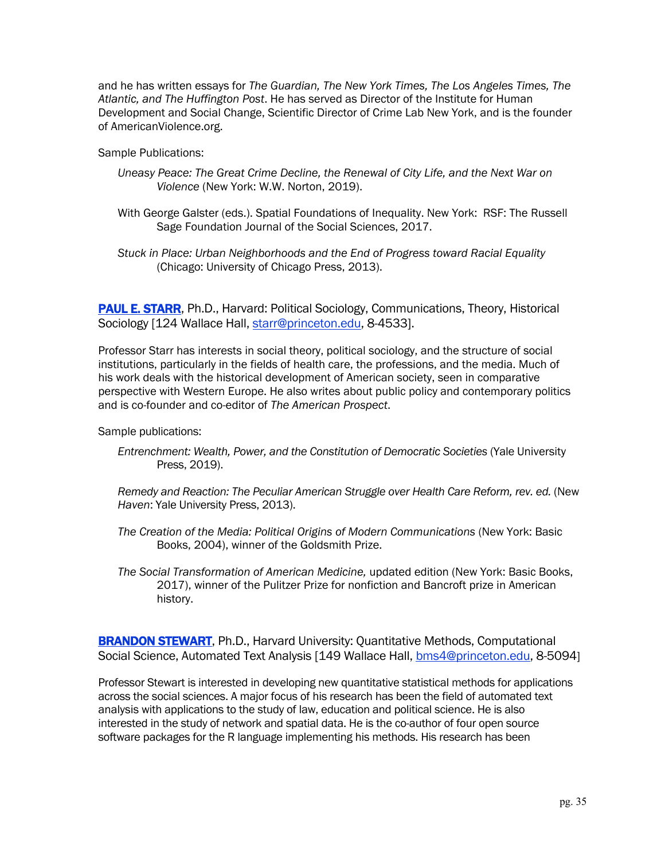and he has written essays for *The Guardian, The New York Times, The Los Angeles Times, The Atlantic, and The Huffington Post*. He has served as Director of the Institute for Human Development and Social Change, Scientific Director of Crime Lab New York, and is the founder of AmericanViolence.org.

Sample Publications:

- *Uneasy Peace: The Great Crime Decline, the Renewal of City Life, and the Next War on Violence* (New York: W.W. Norton, 2019).
- With George Galster (eds.). Spatial Foundations of Inequality. New York: RSF: The Russell Sage Foundation Journal of the Social Sciences, 2017.
- *Stuck in Place: Urban Neighborhoods and the End of Progress toward Racial Equality* (Chicago: University of Chicago Press, 2013).

PAUL E. STARR, Ph.D., Harvard: Political Sociology, Communications, Theory, Historical Sociology [124 Wallace Hall, starr@princeton.edu, 8-4533].

Professor Starr has interests in social theory, political sociology, and the structure of social institutions, particularly in the fields of health care, the professions, and the media. Much of his work deals with the historical development of American society, seen in comparative perspective with Western Europe. He also writes about public policy and contemporary politics and is co-founder and co-editor of *The American Prospect*.

Sample publications:

*Entrenchment: Wealth, Power, and the Constitution of Democratic Societies* (Yale University Press, 2019).

*Remedy and Reaction: The Peculiar American Struggle over Health Care Reform, rev. ed.* (New *Haven*: Yale University Press, 2013).

- *The Creation of the Media: Political Origins of Modern Communications* (New York: Basic Books, 2004), winner of the Goldsmith Prize.
- *The Social Transformation of American Medicine,* updated edition (New York: Basic Books, 2017), winner of the Pulitzer Prize for nonfiction and Bancroft prize in American history.

**BRANDON STEWART, Ph.D., Harvard University: Quantitative Methods, Computational** Social Science, Automated Text Analysis [149 Wallace Hall, bms4@princeton.edu, 8-5094]

Professor Stewart is interested in developing new quantitative statistical methods for applications across the social sciences. A major focus of his research has been the field of automated text analysis with applications to the study of law, education and political science. He is also interested in the study of network and spatial data. He is the co-author of four open source software packages for the R language implementing his methods. His research has been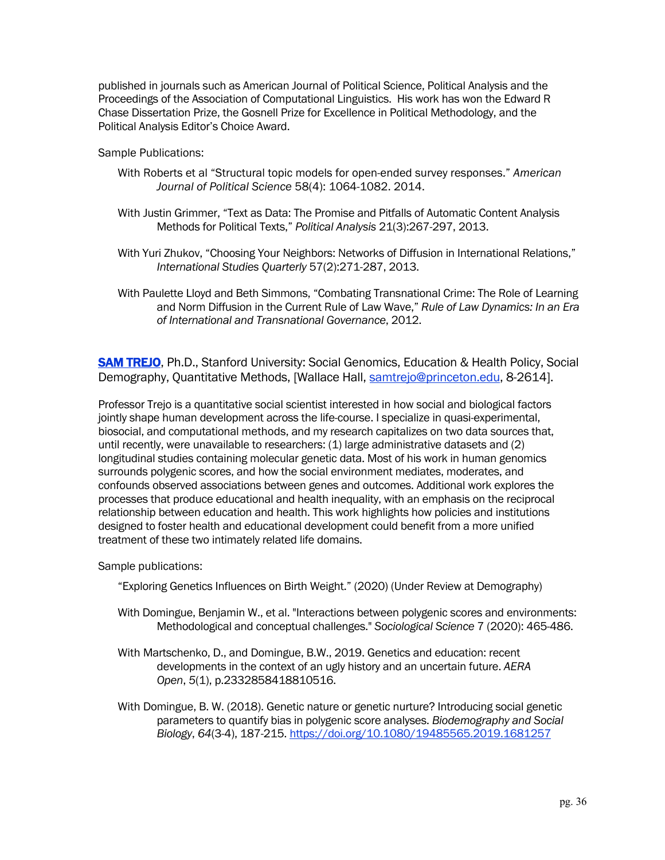published in journals such as American Journal of Political Science, Political Analysis and the Proceedings of the Association of Computational Linguistics. His work has won the Edward R Chase Dissertation Prize, the Gosnell Prize for Excellence in Political Methodology, and the Political Analysis Editor's Choice Award.

Sample Publications:

- With Roberts et al "Structural topic models for open-ended survey responses." *American Journal of Political Science* 58(4): 1064-1082. 2014.
- With Justin Grimmer, "Text as Data: The Promise and Pitfalls of Automatic Content Analysis Methods for Political Texts," *Political Analysis* 21(3):267-297, 2013.
- With Yuri Zhukov, "Choosing Your Neighbors: Networks of Diffusion in International Relations," *International Studies Quarterly* 57(2):271-287, 2013.
- With Paulette Lloyd and Beth Simmons, "Combating Transnational Crime: The Role of Learning and Norm Diffusion in the Current Rule of Law Wave," *Rule of Law Dynamics: In an Era of International and Transnational Governance*, 2012.

**SAM TREJO**, Ph.D., Stanford University: Social Genomics, Education & Health Policy, Social Demography, Quantitative Methods, [Wallace Hall, samtrejo@princeton.edu, 8-2614].

Professor Trejo is a quantitative social scientist interested in how social and biological factors jointly shape human development across the life-course. I specialize in quasi-experimental, biosocial, and computational methods, and my research capitalizes on two data sources that, until recently, were unavailable to researchers: (1) large administrative datasets and (2) longitudinal studies containing molecular genetic data. Most of his work in human genomics surrounds polygenic scores, and how the social environment mediates, moderates, and confounds observed associations between genes and outcomes. Additional work explores the processes that produce educational and health inequality, with an emphasis on the reciprocal relationship between education and health. This work highlights how policies and institutions designed to foster health and educational development could benefit from a more unified treatment of these two intimately related life domains.

Sample publications:

"Exploring Genetics Influences on Birth Weight." (2020) (Under Review at Demography)

- With Domingue, Benjamin W., et al. "Interactions between polygenic scores and environments: Methodological and conceptual challenges." *Sociological Science* 7 (2020): 465-486.
- With Martschenko, D., and Domingue, B.W., 2019. Genetics and education: recent developments in the context of an ugly history and an uncertain future. *AERA Open*, *5*(1), p.2332858418810516.
- With Domingue, B. W. (2018). Genetic nature or genetic nurture? Introducing social genetic parameters to quantify bias in polygenic score analyses. *Biodemography and Social Biology*, *64*(3-4), 187-215. https://doi.org/10.1080/19485565.2019.1681257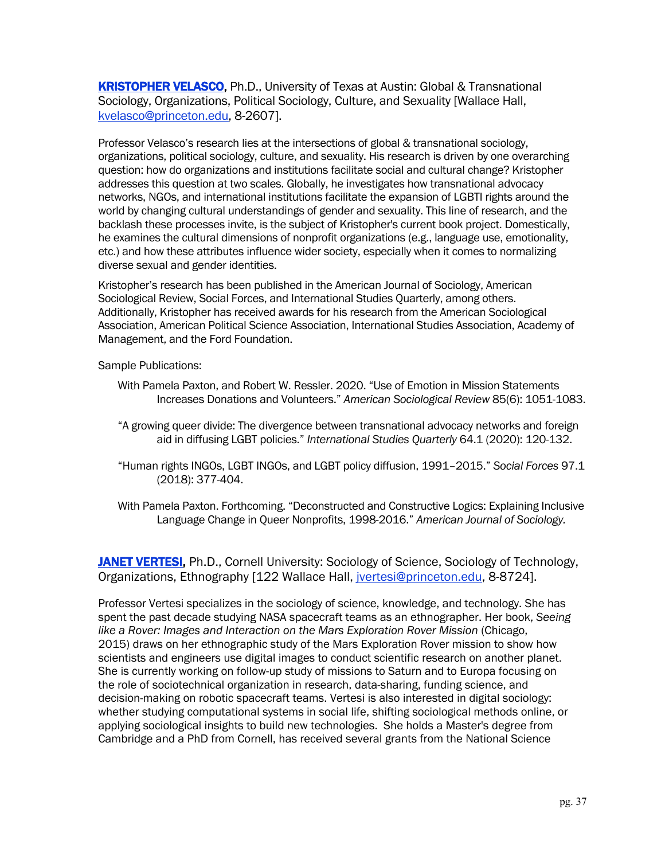KRISTOPHER VELASCO, Ph.D., University of Texas at Austin: Global & Transnational Sociology, Organizations, Political Sociology, Culture, and Sexuality [Wallace Hall, kvelasco@princeton.edu, 8-2607].

Professor Velasco's research lies at the intersections of global & transnational sociology, organizations, political sociology, culture, and sexuality. His research is driven by one overarching question: how do organizations and institutions facilitate social and cultural change? Kristopher addresses this question at two scales. Globally, he investigates how transnational advocacy networks, NGOs, and international institutions facilitate the expansion of LGBTI rights around the world by changing cultural understandings of gender and sexuality. This line of research, and the backlash these processes invite, is the subject of Kristopher's current book project. Domestically, he examines the cultural dimensions of nonprofit organizations (e.g., language use, emotionality, etc.) and how these attributes influence wider society, especially when it comes to normalizing diverse sexual and gender identities.

Kristopher's research has been published in the American Journal of Sociology, American Sociological Review, Social Forces, and International Studies Quarterly, among others. Additionally, Kristopher has received awards for his research from the American Sociological Association, American Political Science Association, International Studies Association, Academy of Management, and the Ford Foundation.

Sample Publications:

- With Pamela Paxton, and Robert W. Ressler. 2020. "Use of Emotion in Mission Statements Increases Donations and Volunteers." *American Sociological Review* 85(6): 1051-1083.
- "A growing queer divide: The divergence between transnational advocacy networks and foreign aid in diffusing LGBT policies." *International Studies Quarterly* 64.1 (2020): 120-132.
- "Human rights INGOs, LGBT INGOs, and LGBT policy diffusion, 1991–2015." *Social Forces* 97.1 (2018): 377-404.
- With Pamela Paxton. Forthcoming. "Deconstructed and Constructive Logics: Explaining Inclusive Language Change in Queer Nonprofits, 1998-2016." *American Journal of Sociology.*

JANET VERTESI, Ph.D., Cornell University: Sociology of Science, Sociology of Technology, Organizations, Ethnography [122 Wallace Hall, jvertesi@princeton.edu, 8-8724].

Professor Vertesi specializes in the sociology of science, knowledge, and technology. She has spent the past decade studying NASA spacecraft teams as an ethnographer. Her book, *Seeing like a Rover: Images and Interaction on the Mars Exploration Rover Mission (Chicago,* 2015) draws on her ethnographic study of the Mars Exploration Rover mission to show how scientists and engineers use digital images to conduct scientific research on another planet. She is currently working on follow-up study of missions to Saturn and to Europa focusing on the role of sociotechnical organization in research, data-sharing, funding science, and decision-making on robotic spacecraft teams. Vertesi is also interested in digital sociology: whether studying computational systems in social life, shifting sociological methods online, or applying sociological insights to build new technologies. She holds a Master's degree from Cambridge and a PhD from Cornell, has received several grants from the National Science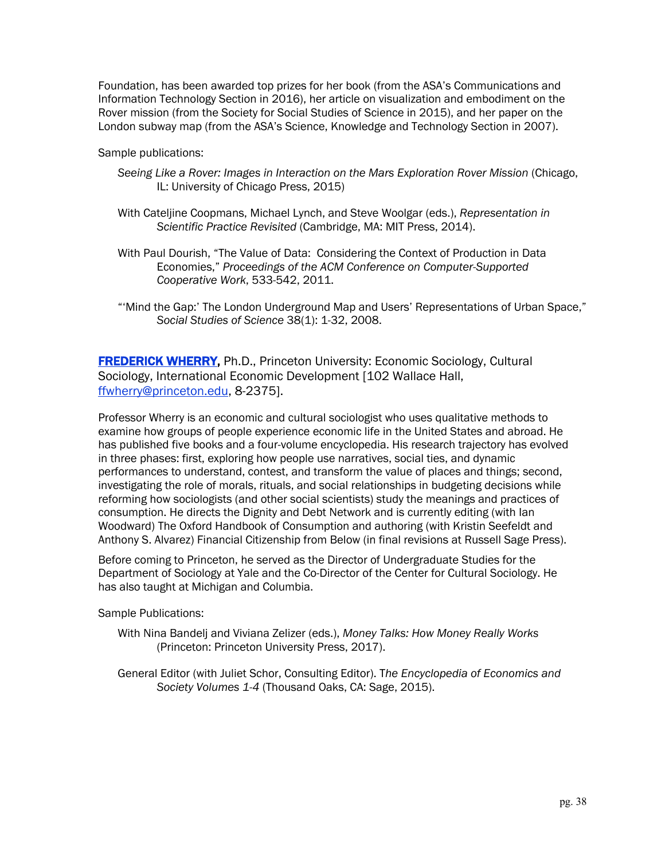Foundation, has been awarded top prizes for her book (from the ASA's Communications and Information Technology Section in 2016), her article on visualization and embodiment on the Rover mission (from the Society for Social Studies of Science in 2015), and her paper on the London subway map (from the ASA's Science, Knowledge and Technology Section in 2007).

Sample publications:

- *Seeing Like a Rover: Images in Interaction on the Mars Exploration Rover Mission* (Chicago, IL: University of Chicago Press, 2015)
- With Cateljine Coopmans, Michael Lynch, and Steve Woolgar (eds.), *Representation in Scientific Practice Revisited* (Cambridge, MA: MIT Press, 2014).
- With Paul Dourish, "The Value of Data: Considering the Context of Production in Data Economies," *Proceedings of the ACM Conference on Computer-Supported Cooperative Work*, 533-542, 2011.
- "'Mind the Gap:' The London Underground Map and Users' Representations of Urban Space," *Social Studies of Science* 38(1): 1-32, 2008.

**FREDERICK WHERRY, Ph.D., Princeton University: Economic Sociology, Cultural** Sociology, International Economic Development [102 Wallace Hall, ffwherry@princeton.edu, 8-2375].

Professor Wherry is an economic and cultural sociologist who uses qualitative methods to examine how groups of people experience economic life in the United States and abroad. He has published five books and a four-volume encyclopedia. His research trajectory has evolved in three phases: first, exploring how people use narratives, social ties, and dynamic performances to understand, contest, and transform the value of places and things; second, investigating the role of morals, rituals, and social relationships in budgeting decisions while reforming how sociologists (and other social scientists) study the meanings and practices of consumption. He directs the Dignity and Debt Network and is currently editing (with Ian Woodward) The Oxford Handbook of Consumption and authoring (with Kristin Seefeldt and Anthony S. Alvarez) Financial Citizenship from Below (in final revisions at Russell Sage Press).

Before coming to Princeton, he served as the Director of Undergraduate Studies for the Department of Sociology at Yale and the Co-Director of the Center for Cultural Sociology. He has also taught at Michigan and Columbia.

Sample Publications:

- With Nina Bandelj and Viviana Zelizer (eds.), *Money Talks: How Money Really Works* (Princeton: Princeton University Press, 2017).
- General Editor (with Juliet Schor, Consulting Editor). T*he Encyclopedia of Economics and Society Volumes 1-4* (Thousand Oaks, CA: Sage, 2015).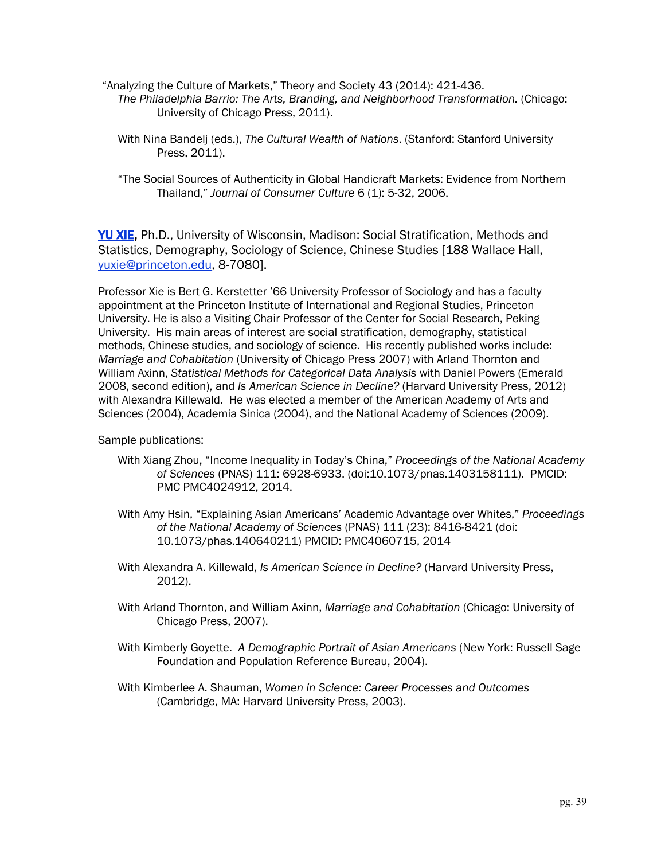- "Analyzing the Culture of Markets," Theory and Society 43 (2014): 421-436. *The Philadelphia Barrio: The Arts, Branding, and Neighborhood Transformation.* (Chicago: University of Chicago Press, 2011).
	- With Nina Bandelj (eds.), *The Cultural Wealth of Nations*. (Stanford: Stanford University Press, 2011).
	- "The Social Sources of Authenticity in Global Handicraft Markets: Evidence from Northern Thailand," *Journal of Consumer Culture* 6 (1): 5-32, 2006.

**YU XIE, Ph.D., University of Wisconsin, Madison: Social Stratification, Methods and** Statistics, Demography, Sociology of Science, Chinese Studies [188 Wallace Hall, yuxie@princeton.edu, 8-7080].

Professor Xie is Bert G. Kerstetter '66 University Professor of Sociology and has a faculty appointment at the Princeton Institute of International and Regional Studies, Princeton University. He is also a Visiting Chair Professor of the Center for Social Research, Peking University. His main areas of interest are social stratification, demography, statistical methods, Chinese studies, and sociology of science. His recently published works include: *Marriage and Cohabitation* (University of Chicago Press 2007) with Arland Thornton and William Axinn, *Statistical Methods for Categorical Data Analysis* with Daniel Powers (Emerald 2008, second edition), and *Is American Science in Decline?* (Harvard University Press, 2012) with Alexandra Killewald. He was elected a member of the American Academy of Arts and Sciences (2004), Academia Sinica (2004), and the National Academy of Sciences (2009).

Sample publications:

- With Xiang Zhou, "Income Inequality in Today's China," *Proceedings of the National Academy of Sciences* (PNAS) 111: 6928-6933. (doi:10.1073/pnas.1403158111). PMCID: PMC PMC4024912, 2014.
- With Amy Hsin, "Explaining Asian Americans' Academic Advantage over Whites," *Proceedings of the National Academy of Sciences* (PNAS) 111 (23): 8416-8421 (doi: 10.1073/phas.140640211) PMCID: PMC4060715, 2014
- With Alexandra A. Killewald, *Is American Science in Decline?* (Harvard University Press, 2012).
- With Arland Thornton, and William Axinn, *Marriage and Cohabitation* (Chicago: University of Chicago Press, 2007).
- With Kimberly Goyette. *A Demographic Portrait of Asian Americans* (New York: Russell Sage Foundation and Population Reference Bureau, 2004).
- With Kimberlee A. Shauman, *Women in Science: Career Processes and Outcomes* (Cambridge, MA: Harvard University Press, 2003).